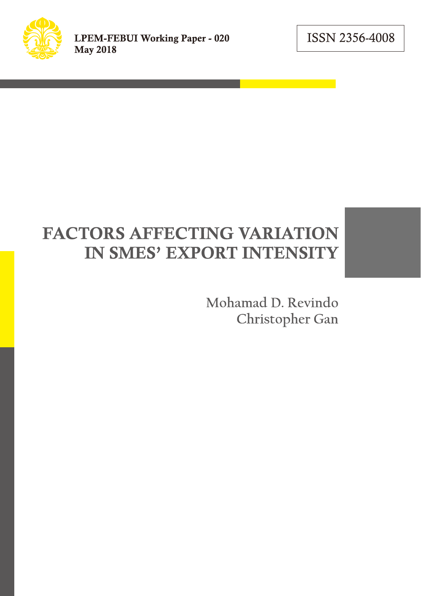ISSN 2356-4008

# **FACTORS AFFECTING VARIATION** IN SMES' EXPORT INTENSITY

Mohamad D. Revindo Christopher Gan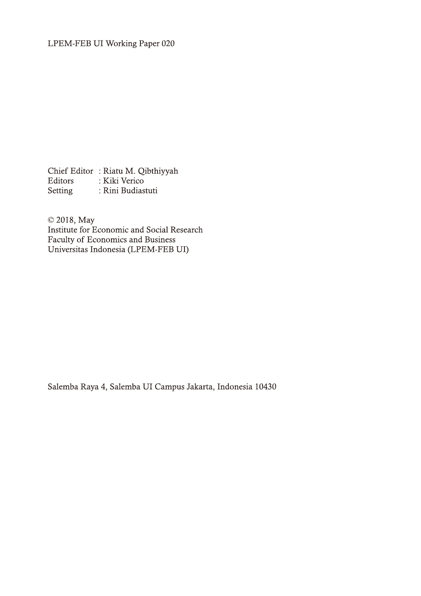Chief Editor: Riatu M. Qibthiyyah Editors : Kiki Verico<br>Setting : Rini Budiastuti Setting

© 2018, May Institute for Economic and Social Research Faculty of Economics and Business<br>Universitas Indonesia (LPEM-FEB UI)

Salemba Raya 4, Salemba UI Campus Jakarta, Indonesia 10430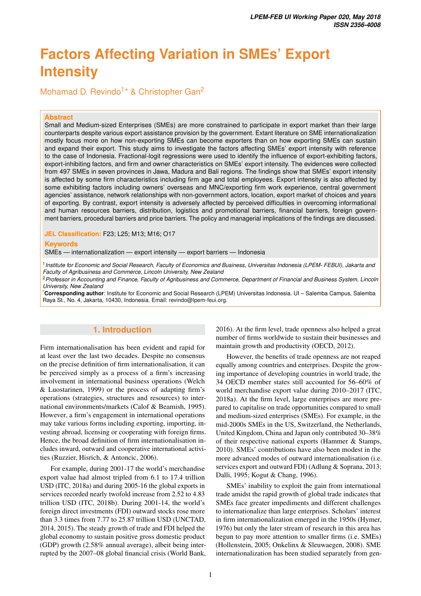## **Factors Affecting Variation in SMEs' Export Intensity**

Mohamad D. Revindo<sup>1\*</sup> & Christopher Gan<sup>2</sup>

#### **Abstract**

Small and Medium-sized Enterprises (SMEs) are more constrained to participate in export market than their large counterparts despite various export assistance provision by the government. Extant literature on SME internationalization mostly focus more on how non-exporting SMEs can become exporters than on how exporting SMEs can sustain and expand their export. This study aims to investigate the factors affecting SMEs' export intensity with reference to the case of Indonesia. Fractional-logit regressions were used to identify the influence of export-exhibiting factors, export-inhibiting factors, and firm and owner characteristics on SMEs' export intensity. The evidences were collected from 497 SMEs in seven provinces in Jawa, Madura and Bali regions. The findings show that SMEs' export intensity is affected by some firm characteristics including firm age and total employees. Export intensity is also affected by some exhibiting factors including owners' overseas and MNC/exporting firm work experience, central government agencies' assistance, network relationships with non-government actors, location, export market of choices and years of exporting. By contrast, export intensity is adversely affected by perceived difficulties in overcoming informational and human resources barriers, distribution, logistics and promotional barriers, financial barriers, foreign government barriers, procedural barriers and price barriers. The policy and managerial implications of the findings are discussed.

**JEL Classification:** F23; L25; M13; M16; O17

#### **Keywords**

SMEs — internationalization — export intensity — export barriers — Indonesia

1 *Institute for Economic and Social Research, Faculty of Economics and Business, Universitas Indonesia (LPEM- FEBUI), Jakarta and Faculty of Agribusiness and Commerce, Lincoln University, New Zealand*

<sup>2</sup>*Professor in Accounting and Finance, Faculty of Agribusiness and Commerce, Department of Financial and Business System, Lincoln University, New Zealand*

\***Corresponding author**: Institute for Economic and Social Research (LPEM) Universitas Indonesia. UI – Salemba Campus, Salemba Raya St., No. 4, Jakarta, 10430, Indonesia. Email: [revindo@lpem-feui.org.](revindo@lpem-feui.org)

## **1. Introduction**

Firm internationalisation has been evident and rapid for at least over the last two decades. Despite no consensus on the precise definition of firm internationalisation, it can be perceived simply as a process of a firm's increasing involvement in international business operations (Welch & Luostarinen, 1999) or the process of adapting firm's operations (strategies, structures and resources) to international environments/markets (Calof & Beamish, 1995). However, a firm's engagement in international operations may take various forms including exporting, importing, investing abroad, licensing or cooperating with foreign firms. Hence, the broad definition of firm internationalisation includes inward, outward and cooperative international activities (Ruzzier, Hisrich, & Antoncic, 2006).

For example, during 2001-17 the world's merchandise export value had almost tripled from 6.1 to 17.4 trillion USD (ITC, 2018a) and during 2005-16 the global exports in services recorded nearly twofold increase from 2.52 to 4.83 trillion USD (ITC, 2018b). During 2001-14, the world's foreign direct investments (FDI) outward stocks rose more than 3.3 times from 7.77 to 25.87 trillion USD (UNCTAD, 2014, 2015). The steady growth of trade and FDI helped the global economy to sustain positive gross domestic product (GDP) growth (2.58% annual average), albeit being interrupted by the 2007–08 global financial crisis (World Bank, 2016). At the firm level, trade openness also helped a great number of firms worldwide to sustain their businesses and maintain growth and productivity (OECD, 2012).

However, the benefits of trade openness are not reaped equally among countries and enterprises. Despite the growing importance of developing countries in world trade, the 34 OECD member states still accounted for 56–60% of world merchandise export value during 2010–2017 (ITC, 2018a). At the firm level, large enterprises are more prepared to capitalise on trade opportunities compared to small and medium-sized enterprises (SMEs). For example, in the mid-2000s SMEs in the US, Switzerland, the Netherlands, United Kingdom, China and Japan only contributed 30–38% of their respective national exports (Hammer & Stamps, 2010). SMEs' contributions have also been modest in the more advanced modes of outward internationalisation (i.e. services export and outward FDI) (Adlung & Soprana, 2013; Dalli, 1995; Kogut & Chang, 1996).

SMEs' inability to exploit the gain from international trade amidst the rapid growth of global trade indicates that SMEs face greater impediments and different challenges to internationalize than large enterprises. Scholars' interest in firm internationalization emerged in the 1950s (Hymer, 1976) but only the later stream of research in this area has begun to pay more attention to smaller firms (i.e. SMEs) (Hollenstein, 2005; Onkelinx & Sleuwaegen, 2008). SME internationalization has been studied separately from gen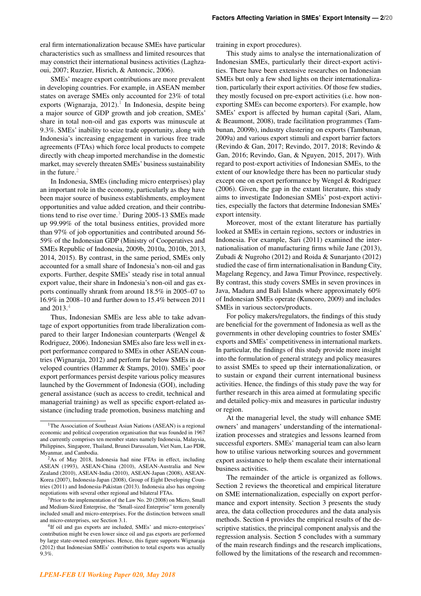eral firm internationalization because SMEs have particular characteristics such as smallness and limited resources that may constrict their international business activities (Laghzaoui, 2007; Ruzzier, Hisrich, & Antoncic, 2006).

SMEs' meagre export contributions are more prevalent in developing countries. For example, in ASEAN member states on average SMEs only accounted for 23% of total exports (Wignaraja, 20[1](#page-3-0)2).<sup>1</sup> In Indonesia, despite being a major source of GDP growth and job creation, SMEs' share in total non-oil and gas exports was minuscule at 9.3%. SMEs' inability to seize trade opportunity, along with Indonesia's increasing engagement in various free trade agreements (FTAs) which force local products to compete directly with cheap imported merchandise in the domestic market, may severely threaten SMEs' business sustainability in the future. $2$ 

In Indonesia, SMEs (including micro enterprises) play an important role in the economy, particularly as they have been major source of business establishments, employment opportunities and value added creation, and their contribu-tions tend to rise over time.<sup>[3](#page-3-2)</sup> During 2005-13 SMEs made up 99.99% of the total business entities, provided more than 97% of job opportunities and contributed around 56- 59% of the Indonesian GDP (Ministry of Cooperatives and SMEs Republic of Indonesia, 2009b, 2010a, 2010b, 2013, 2014, 2015). By contrast, in the same period, SMEs only accounted for a small share of Indonesia's non-oil and gas exports. Further, despite SMEs' steady rise in total annual export value, their share in Indonesia's non-oil and gas exports continually shrank from around 18.5% in 2005–07 to 16.9% in 2008–10 and further down to 15.4% between 2011 and  $2013.4$  $2013.4$ 

Thus, Indonesian SMEs are less able to take advantage of export opportunities from trade liberalization compared to their larger Indonesian counterparts (Wengel & Rodriguez, 2006). Indonesian SMEs also fare less well in export performance compared to SMEs in other ASEAN countries (Wignaraja, 2012) and perform far below SMEs in developed countries (Hammer & Stamps, 2010). SMEs' poor export performances persist despite various policy measures launched by the Government of Indonesia (GOI), including general assistance (such as access to credit, technical and managerial training) as well as specific export-related assistance (including trade promotion, business matching and training in export procedures).

This study aims to analyse the internationalization of Indonesian SMEs, particularly their direct-export activities. There have been extensive researches on Indonesian SMEs but only a few shed lights on their internationalization, particularly their export activities. Of those few studies, they mostly focused on pre-export activities (i.e. how nonexporting SMEs can become exporters). For example, how SMEs' export is affected by human capital (Sari, Alam, & Beaumont, 2008), trade facilitation programmes (Tambunan, 2009b), industry clustering on exports (Tambunan, 2009a) and various export stimuli and export barrier factors (Revindo & Gan, 2017; Revindo, 2017, 2018; Revindo & Gan, 2016; Revindo, Gan, & Nguyen, 2015, 2017). With regard to post-export activities of Indonesian SMEs, to the extent of our knowledge there has been no particular study except one on export performance by Wengel & Rodriguez (2006). Given, the gap in the extant literature, this study aims to investigate Indonesian SMEs' post-export activities, especially the factors that determine Indonesian SMEs' export intensity.

Moreover, most of the extant literature has partially looked at SMEs in certain regions, sectors or industries in Indonesia. For example, Sari (2011) examined the internationalisation of manufacturing firms while Jane (2013), Zubadi & Nugroho (2012) and Roida & Sunarjanto (2012) studied the case of firm internationalisation in Bandung City, Magelang Regency, and Jawa Timur Province, respectively. By contrast, this study covers SMEs in seven provinces in Java, Madura and Bali Islands where approximately 60% of Indonesian SMEs operate (Kuncoro, 2009) and includes SMEs in various sectors/products.

For policy makers/regulators, the findings of this study are beneficial for the government of Indonesia as well as the governments in other developing countries to foster SMEs' exports and SMEs' competitiveness in international markets. In particular, the findings of this study provide more insight into the formulation of general strategy and policy measures to assist SMEs to speed up their internationalization, or to sustain or expand their current international business activities. Hence, the findings of this study pave the way for further research in this area aimed at formulating specific and detailed policy-mix and measures in particular industry or region.

At the managerial level, the study will enhance SME owners' and managers' understanding of the internationalization processes and strategies and lessons learned from successful exporters. SMEs' managerial team can also learn how to utilise various networking sources and government export assistance to help them escalate their international business activities.

The remainder of the article is organized as follows. Section 2 reviews the theoretical and empirical literature on SME internationalization, especially on export performance and export intensity. Section 3 presents the study area, the data collection procedures and the data analysis methods. Section 4 provides the empirical results of the descriptive statistics, the principal component analysis and the regression analysis. Section 5 concludes with a summary of the main research findings and the research implications, followed by the limitations of the research and recommen-

<span id="page-3-0"></span><sup>&</sup>lt;sup>1</sup>The Association of Southeast Asian Nations (ASEAN) is a regional economic and political cooperation organisation that was founded in 1967 and currently comprises ten member states namely Indonesia, Malaysia, Philippines, Singapore, Thailand, Brunei Darussalam, Viet Nam, Lao PDR, Myanmar, and Cambodia.

<span id="page-3-1"></span><sup>2</sup>As of May 2018, Indonesia had nine FTAs in effect, including ASEAN (1993), ASEAN-China (2010), ASEAN-Australia and New Zealand (2010), ASEAN-India (2010), ASEAN-Japan (2008), ASEAN-Korea (2007), Indonesia-Japan (2008), Group of Eight Developing Countries (2011) and Indonesia-Pakistan (2013). Indonesia also has ongoing negotiations with several other regional and bilateral FTAs.

<span id="page-3-2"></span> $3$ Prior to the implementation of the Law No. 20 (2008) on Micro, Small and Medium-Sized Enterprise, the "Small-sized Enterprise" term generally included small and micro-enterprises. For the distinction between small and micro-enterprises, see Section 3.1.

<span id="page-3-3"></span><sup>&</sup>lt;sup>4</sup>If oil and gas exports are included, SMEs' and micro-enterprises' contribution might be even lower since oil and gas exports are performed by large state-owned enterprises. Hence, this figure supports Wignaraja (2012) that Indonesian SMEs' contribution to total exports was actually 9.3%.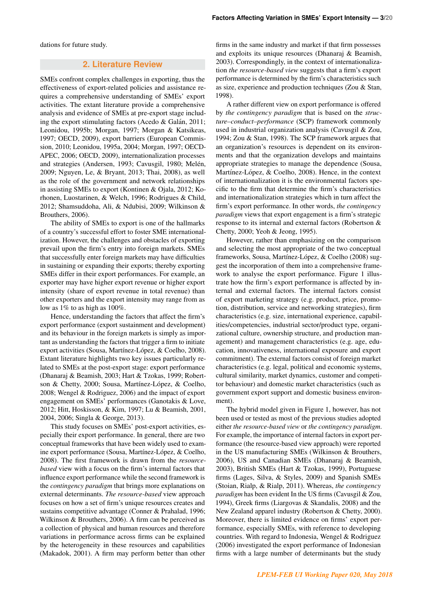dations for future study.

## **2. Literature Review**

SMEs confront complex challenges in exporting, thus the effectiveness of export-related policies and assistance requires a comprehensive understanding of SMEs' export activities. The extant literature provide a comprehensive analysis and evidence of SMEs at pre-export stage including the export stimulating factors (Acedo  $&$  Galán, 2011; Leonidou, 1995b; Morgan, 1997; Morgan & Katsikeas, 1997; OECD, 2009), export barriers (European Commission, 2010; Leonidou, 1995a, 2004; Morgan, 1997; OECD-APEC, 2006; OECD, 2009), internationalization processes and strategies (Andersen, 1993; Cavusgil, 1980; Melén, 2009; Nguyen, Le, & Bryant, 2013; Thai, 2008), as well as the role of the government and network relationships in assisting SMEs to export (Kontinen & Ojala, 2012; Korhonen, Luostarinen, & Welch, 1996; Rodrigues & Child, 2012; Shamsuddoha, Ali, & Ndubisi, 2009; Wilkinson & Brouthers, 2006).

The ability of SMEs to export is one of the hallmarks of a country's successful effort to foster SME internationalization. However, the challenges and obstacles of exporting prevail upon the firm's entry into foreign markets. SMEs that successfully enter foreign markets may have difficulties in sustaining or expanding their exports; thereby exporting SMEs differ in their export performances. For example, an exporter may have higher export revenue or higher export intensity (share of export revenue in total revenue) than other exporters and the export intensity may range from as low as 1% to as high as 100%.

Hence, understanding the factors that affect the firm's export performance (export sustainment and development) and its behaviour in the foreign markets is simply as important as understanding the factors that trigger a firm to initiate export activities (Sousa, Martínez-López, & Coelho, 2008). Extant literature highlights two key issues particularly related to SMEs at the post-export stage: export performance (Dhanaraj & Beamish, 2003; Hart & Tzokas, 1999; Robertson & Chetty, 2000; Sousa, Martínez-López, & Coelho, 2008; Wengel & Rodriguez, 2006) and the impact of export engagement on SMEs' performances (Ganotakis & Love, 2012; Hitt, Hoskisson, & Kim, 1997; Lu & Beamish, 2001, 2004, 2006; Singla & George, 2013).

This study focuses on SMEs' post-export activities, especially their export performance. In general, there are two conceptual frameworks that have been widely used to examine export performance (Sousa, Martínez-López, & Coelho, 2008). The first framework is drawn from the *resourcebased* view with a focus on the firm's internal factors that influence export performance while the second framework is the *contingency paradigm* that brings more explanations on external determinants. *The resource-based* view approach focuses on how a set of firm's unique resources creates and sustains competitive advantage (Conner & Prahalad, 1996; Wilkinson & Brouthers, 2006). A firm can be perceived as a collection of physical and human resources and therefore variations in performance across firms can be explained by the heterogeneity in these resources and capabilities (Makadok, 2001). A firm may perform better than other

firms in the same industry and market if that firm possesses and exploits its unique resources (Dhanaraj & Beamish, 2003). Correspondingly, in the context of internationalization *the resource-based view* suggests that a firm's export performance is determined by the firm's characteristics such as size, experience and production techniques (Zou & Stan, 1998).

A rather different view on export performance is offered by *the contingency paradigm* that is based on the *structure–conduct–performance* (SCP) framework commonly used in industrial organization analysis (Cavusgil & Zou, 1994; Zou & Stan, 1998). The SCP framework argues that an organization's resources is dependent on its environments and that the organization develops and maintains appropriate strategies to manage the dependence (Sousa, Martínez-López, & Coelho, 2008). Hence, in the context of internationalization it is the environmental factors specific to the firm that determine the firm's characteristics and internationalization strategies which in turn affect the firm's export performance. In other words, *the contingency paradigm* views that export engagement is a firm's strategic response to its internal and external factors (Robertson & Chetty, 2000; Yeoh & Jeong, 1995).

However, rather than emphasizing on the comparison and selecting the most appropriate of the two conceptual frameworks, Sousa, Martínez-López, & Coelho (2008) suggest the incorporation of them into a comprehensive framework to analyse the export performance. Figure 1 illustrate how the firm's export performance is affected by internal and external factors. The internal factors consist of export marketing strategy (e.g. product, price, promotion, distribution, service and networking strategies), firm characteristics (e.g. size, international experience, capabilities/competencies, industrial sector/product type, organizational culture, ownership structure, and production management) and management characteristics (e.g. age, education, innovativeness, international exposure and export commitment). The external factors consist of foreign market characteristics (e.g. legal, political and economic systems, cultural similarity, market dynamics, customer and competitor behaviour) and domestic market characteristics (such as government export support and domestic business environment).

The hybrid model given in Figure 1, however, has not been used or tested as most of the previous studies adopted either *the resource-based view* or *the contingency paradigm*. For example, the importance of internal factors in export performance (the resource-based view approach) were reported in the US manufacturing SMEs (Wilkinson & Brouthers, 2006), US and Canadian SMEs (Dhanaraj & Beamish, 2003), British SMEs (Hart & Tzokas, 1999), Portuguese firms (Lages, Silva, & Styles, 2009) and Spanish SMEs (Stoian, Rialp, & Rialp, 2011). Whereas, *the contingency paradigm* has been evident In the US firms (Cavusgil & Zou, 1994), Greek firms (Liargovas & Skandalis, 2008) and the New Zealand apparel industry (Robertson & Chetty, 2000). Moreover, there is limited evidence on firms' export performance, especially SMEs, with reference to developing countries. With regard to Indonesia, Wengel & Rodriguez (2006) investigated the export performance of Indonesian firms with a large number of determinants but the study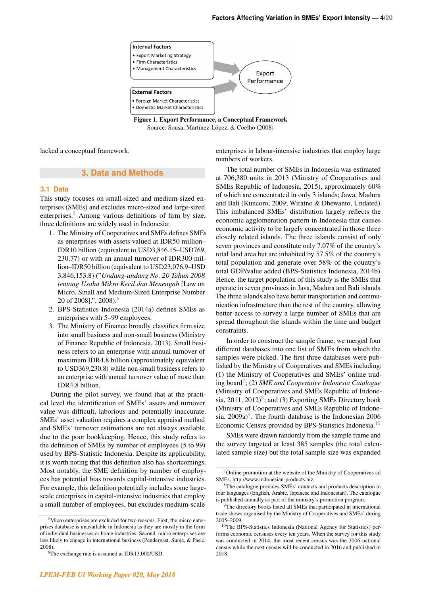

Figure 1. Export Performance, a Conceptual Framework Source: Sousa, Martínez-López, & Coelho (2008)

lacked a conceptual framework.

## **3. Data and Methods**

## **3.1 Data**

This study focuses on small-sized and medium-sized enterprises (SMEs) and excludes micro-sized and large-sized enterprises.<sup>[5](#page-5-0)</sup> Among various definitions of firm by size, three definitions are widely used in Indonesia:

- 1. The Ministry of Cooperatives and SMEs defines SMEs as enterprises with assets valued at IDR50 million– IDR10 billion (equivalent to USD3,846.15–USD769, 230.77) or with an annual turnover of IDR300 million–IDR50 billion (equivalent to USD23,076.9–USD 3,846,153.8) ("*Undang-undang No. 20 Tahun 2008 tentang Usaha Mikro Kecil dan Menengah* [Law on Micro, Small and Medium-Sized Enterprise Number 20 of 2008].", 2008).[6](#page-5-1)
- 2. BPS-Statistics Indonesia (2014a) defines SMEs as enterprises with 5–99 employees.
- 3. The Ministry of Finance broadly classifies firm size into small business and non-small business (Ministry of Finance Republic of Indonesia, 2013). Small business refers to an enterprise with annual turnover of maximum IDR4.8 billion (approximately equivalent to USD369,230.8) while non-small business refers to an enterprise with annual turnover value of more than IDR4.8 billion.

During the pilot survey, we found that at the practical level the identification of SMEs' assets and turnover value was difficult, laborious and potentially inaccurate. SMEs' asset valuation requires a complex appraisal method and SMEs' turnover estimations are not always available due to the poor bookkeeping. Hence, this study refers to the definition of SMEs by number of employees (5 to 99) used by BPS-Statistic Indonesia. Despite its applicability, it is worth noting that this definition also has shortcomings. Most notably, the SME definition by number of employees has potential bias towards capital-intensive industries. For example, this definition potentially includes some largescale enterprises in capital-intensive industries that employ a small number of employees, but excludes medium-scale enterprises in labour-intensive industries that employ large numbers of workers.

The total number of SMEs in Indonesia was estimated at 706,380 units in 2013 (Ministry of Cooperatives and SMEs Republic of Indonesia, 2015), approximately 60% of which are concentrated in only 3 islands; Jawa, Madura and Bali (Kuncoro, 2009; Wiratno & Dhewanto, Undated). This imbalanced SMEs' distribution largely reflects the economic agglomeration pattern in Indonesia that causes economic activity to be largely concentrated in those three closely related islands. The three islands consist of only seven provinces and constitute only 7.07% of the country's total land area but are inhabited by 57.5% of the country's total population and generate over 58% of the country's total GDP/value added (BPS-Statistics Indonesia, 2014b). Hence, the target population of this study is the SMEs that operate in seven provinces in Java, Madura and Bali islands. The three islands also have better transportation and communication infrastructure than the rest of the country, allowing better access to survey a large number of SMEs that are spread throughout the islands within the time and budget constraints.

In order to construct the sample frame, we merged four different databases into one list of SMEs from which the samples were picked. The first three databases were published by the Ministry of Cooperatives and SMEs including: (1) the Ministry of Cooperatives and SMEs' online trading board[7](#page-5-2) ; (2) *SME and Cooperative Indonesia Catalogue* (Ministry of Cooperatives and SMEs Republic of Indonesia,  $2011$ ,  $2012$ <sup>[8](#page-5-3)</sup>; and (3) Exporting SMEs Directory book (Ministry of Cooperatives and SMEs Republic of Indonesia,  $2009a$  $2009a$  $2009a$ <sup>9</sup>. The fourth database is the Indonesian 2006 Economic Census provided by BPS-Statistics Indonesia.[10](#page-5-5)

SMEs were drawn randomly from the sample frame and the survey targeted at least 385 samples (the total calculated sample size) but the total sample size was expanded

<span id="page-5-0"></span><sup>5</sup>Micro enterprises are excluded for two reasons. First, the micro enterprises database is unavailable in Indonesia as they are mostly in the form of individual businesses or home industries. Second, micro enterprises are less likely to engage in international business (Pendergast, Sunje, & Pasic, 2008).

<span id="page-5-1"></span><sup>6</sup>The exchange rate is assumed at IDR13,000/USD.

<span id="page-5-2"></span> $7$ Online promotion at the website of the Ministry of Cooperatives ad SMEs, http://www.indonesian-products.biz.

<span id="page-5-3"></span><sup>8</sup>The catalogue provides SMEs' contacts and products description in four languages (English, Arabic, Japanese and Indonesian). The catalogue is published annually as part of the ministry's promotion program.

<span id="page-5-4"></span><sup>&</sup>lt;sup>9</sup>The directory books listed all SMEs that participated in international trade shows organised by the Ministry of Cooperatives and SMEs' during 2005–2009.

<span id="page-5-5"></span><sup>10</sup>The BPS-Statistics Indonesia (National Agency for Statistics) performs economic censuses every ten years. When the survey for this study was conducted in 2014, the most recent census was the 2006 national census while the next census will be conducted in 2016 and published in 2018.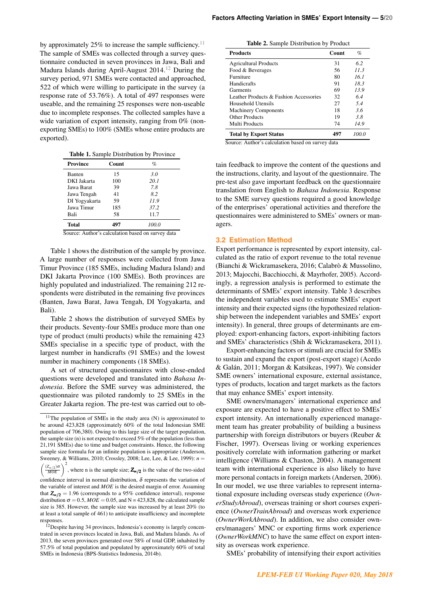by approximately 25% to increase the sample sufficiency.<sup>[11](#page-6-0)</sup> The sample of SMEs was collected through a survey questionnaire conducted in seven provinces in Jawa, Bali and Madura Islands during April-August 2014.<sup>[12](#page-6-1)</sup> During the survey period, 971 SMEs were contacted and approached, 522 of which were willing to participate in the survey (a response rate of 53.76%). A total of 497 responses were useable, and the remaining 25 responses were non-useable due to incomplete responses. The collected samples have a wide variation of export intensity, ranging from 0% (nonexporting SMEs) to 100% (SMEs whose entire products are exported).

Table 1. Sample Distribution by Province

| <b>Province</b> | Count | $\%$  |
|-----------------|-------|-------|
| Banten          | 15    | 3.0   |
| DKI Jakarta     | 100   | 20.1  |
| Jawa Barat      | 39    | 7.8   |
| Jawa Tengah     | 41    | 8.2   |
| DI Yogyakarta   | 59    | 11.9  |
| Jawa Timur      | 185   | 37.2  |
| Bali            | 58    | 11.7  |
| Total           | 497   | 100.0 |

Source: Author's calculation based on survey data

Table 1 shows the distribution of the sample by province. A large number of responses were collected from Jawa Timur Province (185 SMEs, including Madura Island) and DKI Jakarta Province (100 SMEs). Both provinces are highly populated and industrialized. The remaining 212 respondents were distributed in the remaining five provinces (Banten, Jawa Barat, Jawa Tengah, DI Yogyakarta, and Bali).

Table 2 shows the distribution of surveyed SMEs by their products. Seventy-four SMEs produce more than one type of product (multi products) while the remaining 423 SMEs specialise in a specific type of product, with the largest number in handicrafts (91 SMEs) and the lowest number in machinery components (18 SMEs).

A set of structured questionnaires with close-ended questions were developed and translated into *Bahasa Indonesia*. Before the SME survey was administered, the questionnaire was piloted randomly to 25 SMEs in the Greater Jakarta region. The pre-test was carried out to ob-

 $\sqrt{2}$  $\left(\frac{(Z_{\infty/2})\sigma}{MOE}\right)^2$ , where n is the sample size; **Z<sub>∝/2</sub>** is the value of the two-sided

| Table 2. Sample Distribution by Product |  |  |  |
|-----------------------------------------|--|--|--|
|-----------------------------------------|--|--|--|

| <b>Products</b>                        | Count | $\%$  |
|----------------------------------------|-------|-------|
| <b>Agricultural Products</b>           | 31    | 62    |
| Food & Beverages                       | 56    | 11.3  |
| Furniture                              | 80    | 161   |
| Handicrafts                            | 91    | 183   |
| Garments                               | 69    | 13.9  |
| Leather Products & Fashion Accessories | 32    | 64    |
| Household Utensils                     | 27    | 5.4   |
| <b>Machinery Components</b>            | 18    | 3.6   |
| Other Products                         | 19    | 3.8   |
| Multi Products                         | 74    | 14.9  |
| <b>Total by Export Status</b>          | 497   | 100.0 |

Source: Author's calculation based on survey data

tain feedback to improve the content of the questions and the instructions, clarity, and layout of the questionnaire. The pre-test also gave important feedback on the questionnaire translation from English to *Bahasa Indonesia*. Response to the SME survey questions required a good knowledge of the enterprises' operational activities and therefore the questionnaires were administered to SMEs' owners or managers.

## **3.2 Estimation Method**

Export performance is represented by export intensity, calculated as the ratio of export revenue to the total revenue (Bianchi & Wickramasekera, 2016; Calabrò & Mussolino, 2013; Majocchi, Bacchiocchi, & Mayrhofer, 2005). Accordingly, a regression analysis is performed to estimate the determinants of SMEs' export intensity. Table 3 describes the independent variables used to estimate SMEs' export intensity and their expected signs (the hypothesized relationship between the independent variables and SMEs' export intensity). In general, three groups of determinants are employed: export-enhancing factors, export-inhibiting factors and SMEs' characteristics (Shih & Wickramasekera, 2011).

Export-enhancing factors or stimuli are crucial for SMEs to sustain and expand the export (post-export stage) (Acedo & Galan, 2011; Morgan & Katsikeas, 1997). We consider ´ SME owners' international exposure, external assistance, types of products, location and target markets as the factors that may enhance SMEs' export intensity.

SME owners/managers' international experience and exposure are expected to have a positive effect to SMEs' export intensity. An internationally experienced management team has greater probability of building a business partnership with foreign distributors or buyers (Reuber & Fischer, 1997). Overseas living or working experiences positively correlate with information gathering or market intelligence (Williams & Chaston, 2004). A management team with international experience is also likely to have more personal contacts in foreign markets (Andersen, 2006). In our model, we use three variables to represent international exposure including overseas study experience (*OwnerStudyAbroad*), overseas training or short courses experience (*OwnerTrainAbroad*) and overseas work experience (*OwnerWorkAbroad*). In addition, we also consider owners/managers' MNC or exporting firms work experience (*OwnerWorkMNC*) to have the same effect on export intensity as overseas work experience.

SMEs' probability of intensifying their export activities

<span id="page-6-0"></span><sup>11</sup>The population of SMEs in the study area (N) is approximated to be around 423,828 (approximately 60% of the total Indonesian SME population of 706,380). Owing to this large size of the target population, the sample size (n) is not expected to exceed 5% of the population (less than 21,191 SMEs) due to time and budget constraints. Hence, the following sample size formula for an infinite population is appropriate (Anderson, Sweeney, & Williams, 2010; Crossley, 2008; Lee, Lee, & Lee, 1999): *n* =

confidence interval in normal distribution,  $\delta$  represents the variation of the variable of interest and *MOE* is the desired margin of error. Assuming that  $Z_{\alpha/2} = 1.96$  (corresponds to a 95% confidence interval), response distribution  $\sigma = 0.5$ ,  $MOE = 0.05$ , and N = 423,828, the calculated sample size is 385. However, the sample size was increased by at least 20% (to at least a total sample of 461) to anticipate insufficiency and incomplete responses.

<span id="page-6-1"></span><sup>&</sup>lt;sup>12</sup>Despite having 34 provinces, Indonesia's economy is largely concentrated in seven provinces located in Jawa, Bali, and Madura Islands. As of 2013, the seven provinces generated over 58% of total GDP, inhabited by 57.5% of total population and populated by approximately 60% of total SMEs in Indonesia (BPS-Statistics Indonesia, 2014b).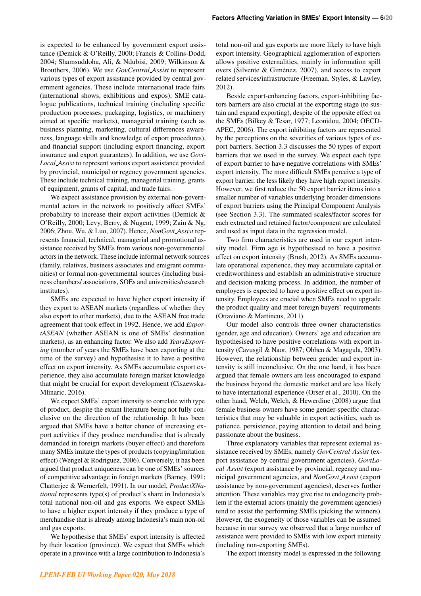is expected to be enhanced by government export assistance (Demick & O'Reilly, 2000; Francis & Collins-Dodd, 2004; Shamsuddoha, Ali, & Ndubisi, 2009; Wilkinson & Brouthers, 2006). We use *GovCentral Assist* to represent various types of export assistance provided by central government agencies. These include international trade fairs (international shows, exhibitions and expos), SME catalogue publications, technical training (including specific production processes, packaging, logistics, or machinery aimed at specific markets), managerial training (such as business planning, marketing, cultural differences awareness, language skills and knowledge of export procedures), and financial support (including export financing, export insurance and export guarantees). In addition, we use *Govt-Local Assist* to represent various export assistance provided by provincial, municipal or regency government agencies. These include technical training, managerial training, grants of equipment, grants of capital, and trade fairs.

We expect assistance provision by external non-governmental actors in the network to positively affect SMEs' probability to increase their export activities (Demick & O'Reilly, 2000; Levy, Berry, & Nugent, 1999; Zain & Ng, 2006; Zhou, Wu, & Luo, 2007). Hence, *NonGovt Assist* represents financial, technical, managerial and promotional assistance received by SMEs from various non-governmental actors in the network. These include informal network sources (family, relatives, business associates and emigrant communities) or formal non-governmental sources (including business chambers/ associations, SOEs and universities/research institutes).

SMEs are expected to have higher export intensity if they export to ASEAN markets (regardless of whether they also export to other markets), due to the ASEAN free trade agreement that took effect in 1992. Hence, we add *ExportASEAN* (whether ASEAN is one of SMEs' destination markets), as an enhancing factor. We also add *YearsExporting* (number of years the SMEs have been exporting at the time of the survey) and hypothesise it to have a positive effect on export intensity. As SMEs accumulate export experience, they also accumulate foreign market knowledge that might be crucial for export development (Ciszewska-Mlinaric, 2016).

We expect SMEs' export intensity to correlate with type of product, despite the extant literature being not fully conclusive on the direction of the relationship. It has been argued that SMEs have a better chance of increasing export activities if they produce merchandise that is already demanded in foreign markets (buyer effect) and therefore many SMEs imitate the types of products (copying/imitation effect) (Wengel & Rodriguez, 2006). Conversely, it has been argued that product uniqueness can be one of SMEs' sources of competitive advantage in foreign markets (Barney, 1991; Chatterjee & Wernerfelt, 1991). In our model, *ProductXNational* represents type(s) of product's share in Indonesia's total national non-oil and gas exports. We expect SMEs to have a higher export intensity if they produce a type of merchandise that is already among Indonesia's main non-oil and gas exports.

We hypothesise that SMEs' export intensity is affected by their location (province). We expect that SMEs which operate in a province with a large contribution to Indonesia's

total non-oil and gas exports are more likely to have high export intensity. Geographical agglomeration of exporters allows positive externalities, mainly in information spill overs (Silvente  $&$  Giménez, 2007), and access to export related services/infrastructure (Freeman, Styles, & Lawley, 2012).

Beside export-enhancing factors, export-inhibiting factors barriers are also crucial at the exporting stage (to sustain and expand exporting), despite of the opposite effect on the SMEs (Bilkey & Tesar, 1977; Leonidou, 2004; OECD-APEC, 2006). The export inhibiting factors are represented by the perceptions on the severities of various types of export barriers. Section 3.3 discusses the 50 types of export barriers that we used in the survey. We expect each type of export barrier to have negative correlations with SMEs' export intensity. The more difficult SMEs perceive a type of export barrier, the less likely they have high export intensity. However, we first reduce the 50 export barrier items into a smaller number of variables underlying broader dimensions of export barriers using the Principal Component Analysis (see Section 3.3). The summated scales/factor scores for each extracted and retained factor/component are calculated and used as input data in the regression model.

Two firm characteristics are used in our export intensity model. Firm age is hypothesised to have a positive effect on export intensity (Brush, 2012). As SMEs accumulate operational experience, they may accumulate capital or creditworthiness and establish an administrative structure and decision-making process. In addition, the number of employees is expected to have a positive effect on export intensity. Employees are crucial when SMEs need to upgrade the product quality and meet foreign buyers' requirements (Ottaviano & Martincus, 2011).

Our model also controls three owner characteristics (gender, age and education). Owners' age and education are hypothesised to have positive correlations with export intensity (Cavusgil & Naor, 1987; Obben & Magagula, 2003). However, the relationship between gender and export intensity is still inconclusive. On the one hand, it has been argued that female owners are less encouraged to expand the business beyond the domestic market and are less likely to have international experience (Orser et al., 2010). On the other hand, Welch, Welch, & Hewerdine (2008) argue that female business owners have some gender-specific characteristics that may be valuable in export activities, such as patience, persistence, paying attention to detail and being passionate about the business.

Three explanatory variables that represent external assistance received by SMEs, namely *GovCentral Assist* (export assistance by central government agencies), *GovtLocal Assist* (export assistance by provincial, regency and municipal government agencies, and *NonGovt Assist* (export assistance by non-government agencies), deserves further attention. These variables may give rise to endogeneity problem if the external actors (mainly the government agencies) tend to assist the performing SMEs (picking the winners). However, the exogeneity of those variables can be assumed because in our survey we observed that a large number of assistance were provided to SMEs with low export intensity (including non-exporting SMEs).

The export intensity model is expressed in the following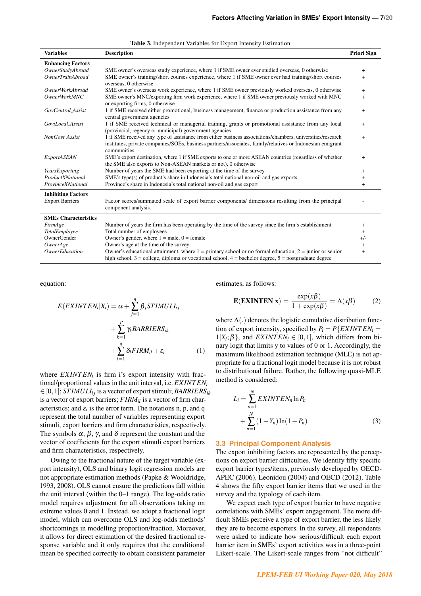| <b>Variables</b>             | <b>Description</b>                                                                                                                                                                                                                     | <b>Priori Sign</b> |
|------------------------------|----------------------------------------------------------------------------------------------------------------------------------------------------------------------------------------------------------------------------------------|--------------------|
| <b>Enhancing Factors</b>     |                                                                                                                                                                                                                                        |                    |
| OwnerStudyAbroad             | SME owner's overseas study experience, where 1 if SME owner ever studied overseas, 0 otherwise                                                                                                                                         | $+$                |
| <b>OwnerTrainAbroad</b>      | SME owner's training/short courses experience, where 1 if SME owner ever had training/short courses<br>overseas, 0 otherwise                                                                                                           | $^{+}$             |
| <i>OwnerWorkAbroad</i>       | SME owner's overseas work experience, where 1 if SME owner previously worked overseas, 0 otherwise                                                                                                                                     | $+$                |
| <i>OwnerWorkMNC</i>          | SME owner's MNC/exporting firm work experience, where 1 if SME owner previously worked with MNC<br>or exporting firms, 0 otherwise                                                                                                     | $\ddot{}$          |
| GovCentral_Assist            | 1 if SME received either promotional, business management, finance or production assistance from any<br>central government agencies                                                                                                    | $\ddot{}$          |
| GovtLocal_Assist             | 1 if SME received technical or managerial training, grants or promotional assistance from any local<br>(provincial, regency or municipal) government agencies                                                                          | $\ddot{}$          |
| <b>NonGovt</b> Assist        | 1 if SME received any type of assistance from either business associations/chambers, universities/research<br>institutes, private companies/SOEs, business partners/associates, family/relatives or Indonesian emigrant<br>communities | $+$                |
| <b>ExportASEAN</b>           | SME's export destination, where 1 if SME exports to one or more ASEAN countries (regardless of whether<br>the SME also exports to Non-ASEAN markets or not), 0 otherwise                                                               | $^{+}$             |
| YearsExporting               | Number of years the SME had been exporting at the time of the survey                                                                                                                                                                   | $^{+}$             |
| ProductXNational             | $SME's type(s)$ of product's share in Indonesia's total national non-oil and gas exports                                                                                                                                               | $^{+}$             |
| ProvinceXNational            | Province's share in Indonesia's total national non-oil and gas export                                                                                                                                                                  | $+$                |
| <b>Inhibiting Factors</b>    |                                                                                                                                                                                                                                        |                    |
| <b>Export Barriers</b>       | Factor scores/summated scale of export barrier components/ dimensions resulting from the principal<br>component analysis.                                                                                                              |                    |
| <b>SMEs Characteristics</b>  |                                                                                                                                                                                                                                        |                    |
| FirmAge                      | Number of years the firm has been operating by the time of the survey since the firm's establishment                                                                                                                                   | $^{+}$             |
| TotalEmployee                | Total number of employees                                                                                                                                                                                                              | $^{+}$             |
| OwnerGender                  | Owner's gender, where $1 =$ male, $0 =$ female                                                                                                                                                                                         | $+/-$              |
| OwnerAge                     | Owner's age at the time of the survey                                                                                                                                                                                                  | $\ddot{}$          |
| <i><b>OwnerEducation</b></i> | Owner's educational attainment, where $1 = \text{primary}$ school or no formal education, $2 = \text{junior}$ or senior<br>high school, $3 =$ college, diploma or vocational school, $4 =$ bachelor degree, $5 =$ postgraduate degree  | $+$                |

#### Table 3. Independent Variables for Export Intensity Estimation

equation:

$$
E(EXINTEM_i|X_i) = \alpha + \sum_{j=1}^{n} \beta_j STIMULI_{ij}
$$

$$
+ \sum_{k=1}^{p} \gamma_k BARRIERS_{ik}
$$

$$
+ \sum_{l=1}^{q} \delta_l FIRM_{il} + \varepsilon_i
$$
(1)

where  $EXINTEN<sub>i</sub>$  is firm i's export intensity with fractional/proportional values in the unit interval, i.e. *EX INT EN<sup>i</sup>*  $\in [0,1]$ ; *ST IMULI*<sub>*ii*</sub> is a vector of export stimuli; *BARRIERS*<sub>*ik*</sub> is a vector of export barriers; *F IRMil* is a vector of firm characteristics; and  $\varepsilon_i$  is the error term. The notations n, p, and q represent the total number of variables representing export stimuli, export barriers and firm characteristics, respectively. The symbols  $\alpha$ ,  $\beta$ ,  $\gamma$ , and  $\delta$  represent the constant and the vector of coefficients for the export stimuli export barriers and firm characteristics, respectively.

Owing to the fractional nature of the target variable (export intensity), OLS and binary logit regression models are not appropriate estimation methods (Papke & Wooldridge, 1993, 2008). OLS cannot ensure the predictions fall within the unit interval (within the 0–1 range). The log-odds ratio model requires adjustment for all observations taking on extreme values 0 and 1. Instead, we adopt a fractional logit model, which can overcome OLS and log-odds methods' shortcomings in modelling proportion/fraction. Moreover, it allows for direct estimation of the desired fractional response variable and it only requires that the conditional mean be specified correctly to obtain consistent parameter

estimates, as follows:

$$
\mathbf{E}(\mathbf{EXINTEM}|\mathbf{x}) = \frac{\exp(x\beta)}{1 + \exp(x\beta)} = \Lambda(x\beta) \tag{2}
$$

where  $\Lambda(.)$  denotes the logistic cumulative distribution function of export intensity, specified by  $P_i = P\{EXINTEN_i =$  $1|X_i; \beta\}$ , and *EXINTEN*<sup>*i*</sup> ∈ [0,1], which differs from binary logit that limits y to values of 0 or 1. Accordingly, the maximum likelihood estimation technique (MLE) is not appropriate for a fractional logit model because it is not robust to distributional failure. Rather, the following quasi-MLE method is considered:

$$
L_{i} = \sum_{n=1}^{N} EXINTEM_{n} \ln P_{n}
$$
  
+ 
$$
\sum_{n=1}^{N} (1 - Y_{n}) \ln(1 - P_{n})
$$
 (3)

#### **3.3 Principal Component Analysis**

The export inhibiting factors are represented by the perceptions on export barrier difficulties. We identify fifty specific export barrier types/items, previously developed by OECD-APEC (2006), Leonidou (2004) and OECD (2012). Table 4 shows the fifty export barrier items that we used in the survey and the typology of each item.

We expect each type of export barrier to have negative correlations with SMEs' export engagement. The more difficult SMEs perceive a type of export barrier, the less likely they are to become exporters. In the survey, all respondents were asked to indicate how serious/difficult each export barrier item in SMEs' export activities was in a three-point Likert-scale. The Likert-scale ranges from "not difficult"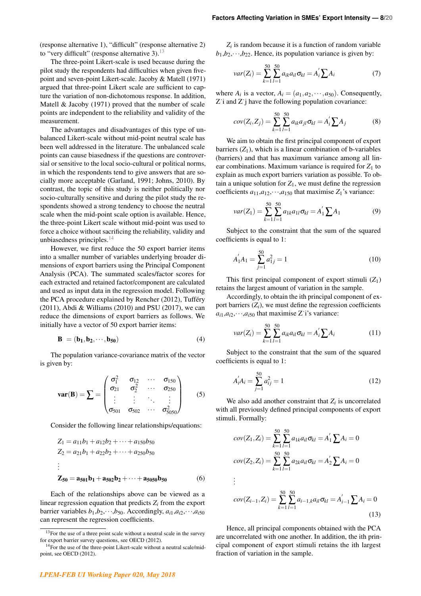(response alternative 1), "difficult" (response alternative 2) to "very difficult" (response alternative 3). $^{13}$  $^{13}$  $^{13}$ 

The three-point Likert-scale is used because during the pilot study the respondents had difficulties when given fivepoint and seven-point Likert-scale. Jacoby & Matell (1971) argued that three-point Likert scale are sufficient to capture the variation of non-dichotomous response. In addition, Matell & Jacoby (1971) proved that the number of scale points are independent to the reliability and validity of the measurement.

The advantages and disadvantages of this type of unbalanced Likert-scale without mid-point neutral scale has been well addressed in the literature. The unbalanced scale points can cause biasedness if the questions are controversial or sensitive to the local socio-cultural or political norms, in which the respondents tend to give answers that are socially more acceptable (Garland, 1991; Johns, 2010). By contrast, the topic of this study is neither politically nor socio-culturally sensitive and during the pilot study the respondents showed a strong tendency to choose the neutral scale when the mid-point scale option is available. Hence, the three-point Likert scale without mid-point was used to force a choice without sacrificing the reliability, validity and unbiasedness principles. $14$ 

However, we first reduce the 50 export barrier items into a smaller number of variables underlying broader dimensions of export barriers using the Principal Component Analysis (PCA). The summated scales/factor scores for each extracted and retained factor/component are calculated and used as input data in the regression model. Following the PCA procedure explained by Rencher (2012), Tufféry (2011), Abdi & Williams (2010) and PSU (2017), we can reduce the dimensions of export barriers as follows. We initially have a vector of 50 export barrier items:

$$
\mathbf{B} = (\mathbf{b}_1, \mathbf{b}_2, \cdots, \mathbf{b}_{50})
$$
 (4)

The population variance-covariance matrix of the vector is given by:

$$
\mathbf{var}(\mathbf{B}) = \sum = \begin{pmatrix} \sigma_1^2 & \sigma_{12} & \cdots & \sigma_{150} \\ \sigma_{21} & \sigma_2^2 & \cdots & \sigma_{250} \\ \vdots & \vdots & \ddots & \vdots \\ \sigma_{501} & \sigma_{502} & \cdots & \sigma_{5050}^2 \end{pmatrix}
$$
 (5)

Consider the following linear relationships/equations:

$$
Z_1 = a_{11}b_1 + a_{12}b_2 + \dots + a_{150}b_{50}
$$
  
\n
$$
Z_2 = a_{21}b_1 + a_{22}b_2 + \dots + a_{250}b_{50}
$$
  
\n:  
\n
$$
Z_{50} = a_{501}b_1 + a_{502}b_2 + \dots + a_{5050}b_{50}
$$
 (6)

Each of the relationships above can be viewed as a linear regression equation that predicts  $Z_i$  from the export barrier variables  $b_1$ , $b_2$ , $\cdots$ , $b_{50}$ . Accordingly,  $a_{i1}$ , $a_{i2}$ , $\cdots$ , $a_{i50}$ can represent the regression coefficients.

 $Z_i$  is random because it is a function of random variable  $b_1$ , $b_2$ , $\cdots$ , $b_{22}$ . Hence, its population variance is given by:

$$
var(Z_i) = \sum_{k=1}^{50} \sum_{l=1}^{50} a_{ik} a_{il} \sigma_{kl} = A'_i \sum A_i
$$
 (7)

where  $A_i$  is a vector,  $A_i = (a_1, a_2, \dots, a_{50})$ . Consequently, Z˙i and Z˙j have the following population covariance:

$$
cov(Z_i, Z_j) = \sum_{k=1}^{50} \sum_{l=1}^{50} a_{ik} a_{jl} \sigma_{kl} = A'_i \sum A_j
$$
 (8)

We aim to obtain the first principal component of export barriers  $(Z_1)$ , which is a linear combination of b-variables (barriers) and that has maximum variance among all linear combinations. Maximum variance is required for  $Z_1$  to explain as much export barriers variation as possible. To obtain a unique solution for  $Z_1$ , we must define the regression coefficients  $a_{11}, a_{12}, \dots, a_{150}$  that maximise  $Z_1$ 's variance:

$$
var(Z_1) = \sum_{k=1}^{50} \sum_{l=1}^{50} a_{1k} a_{1l} \sigma_{kl} = A'_1 \sum A_1
$$
 (9)

Subject to the constraint that the sum of the squared coefficients is equal to 1:

$$
A_1'A_1 = \sum_{j=1}^{50} a_{1j}^2 = 1
$$
\n(10)

This first principal component of export stimuli  $(Z_1)$ retains the largest amount of variation in the sample.

Accordingly, to obtain the ith principal component of export barriers  $(Z_i)$ , we must define the regression coefficients  $a_{i1}, a_{i2}, \cdots, a_{i50}$  that maximise Z<sup> $\cdots$ </sup>s variance:

$$
var(Z_i) = \sum_{k=1}^{50} \sum_{l=1}^{50} a_{ik} a_{il} \sigma_{kl} = A'_i \sum A_i
$$
 (11)

Subject to the constraint that the sum of the squared coefficients is equal to 1:

$$
A'_i A_i = \sum_{j=1}^{50} a_{ij}^2 = 1
$$
 (12)

We also add another constraint that  $Z_i$  is uncorrelated with all previously defined principal components of export stimuli. Formally:

$$
cov(Z_1, Z_i) = \sum_{k=1}^{50} \sum_{l=1}^{50} a_{1k} a_{il} \sigma_{kl} = A'_1 \sum A_i = 0
$$
  
\n
$$
cov(Z_2, Z_i) = \sum_{k=1}^{50} \sum_{l=1}^{50} a_{2k} a_{il} \sigma_{kl} = A'_2 \sum A_i = 0
$$
  
\n:  
\n:

$$
cov(Z_{i-1}, Z_i) = \sum_{k=1}^{50} \sum_{l=1}^{50} a_{i-1,k} a_{il} \sigma_{kl} = A'_{i-1} \sum A_i = 0
$$
\n(13)

Hence, all principal components obtained with the PCA are uncorrelated with one another. In addition, the ith principal component of export stimuli retains the ith largest fraction of variation in the sample.

<span id="page-9-0"></span><sup>&</sup>lt;sup>13</sup>For the use of a three point scale without a neutral scale in the survey for export barrier survey questions, see OECD (2012).

<span id="page-9-1"></span><sup>&</sup>lt;sup>14</sup>For the use of the three-point Likert-scale without a neutral scale/midpoint, see OECD (2012).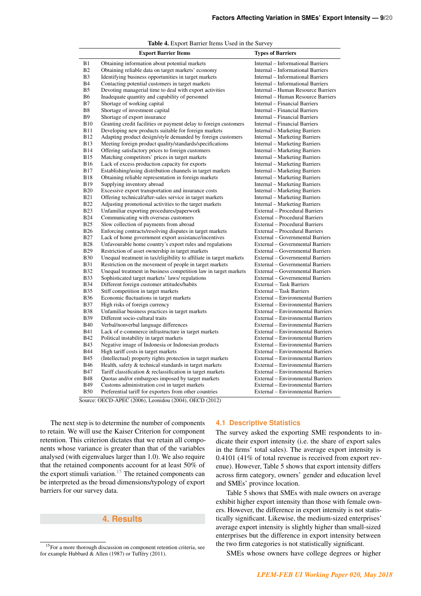|                | <sub>.</sub>                                                        |                                           |
|----------------|---------------------------------------------------------------------|-------------------------------------------|
|                | <b>Export Barrier Items</b>                                         | <b>Types of Barriers</b>                  |
| B1             | Obtaining information about potential markets                       | <b>Internal - Informational Barriers</b>  |
| B <sub>2</sub> | Obtaining reliable data on target markets' economy                  | Internal – Informational Barriers         |
| B <sub>3</sub> | Identifying business opportunities in target markets                | Internal – Informational Barriers         |
| <b>B</b> 4     | Contacting potential customers in target markets                    | <b>Internal - Informational Barriers</b>  |
| B <sub>5</sub> | Devoting managerial time to deal with export activities             | Internal – Human Resource Barriers        |
| B6             | Inadequate quantity and capability of personnel                     | <b>Internal - Human Resource Barriers</b> |
| B7             | Shortage of working capital                                         | Internal – Financial Barriers             |
| B <sub>8</sub> | Shortage of investment capital                                      | Internal – Financial Barriers             |
| <b>B</b> 9     | Shortage of export insurance                                        | <b>Internal - Financial Barriers</b>      |
| <b>B10</b>     | Granting credit facilities or payment delay to foreign customers    | Internal – Financial Barriers             |
| <b>B11</b>     | Developing new products suitable for foreign markets                | <b>Internal - Marketing Barriers</b>      |
| <b>B12</b>     | Adapting product design/style demanded by foreign customers         | <b>Internal – Marketing Barriers</b>      |
| <b>B</b> 13    | Meeting foreign product quality/standards/specifications            | <b>Internal</b> – Marketing Barriers      |
| <b>B14</b>     | Offering satisfactory prices to foreign customers                   | <b>Internal</b> – Marketing Barriers      |
| <b>B15</b>     | Matching competitors' prices in target markets                      | <b>Internal</b> – Marketing Barriers      |
| <b>B16</b>     | Lack of excess production capacity for exports                      | <b>Internal – Marketing Barriers</b>      |
| <b>B17</b>     | Establishing/using distribution channels in target markets          | <b>Internal – Marketing Barriers</b>      |
| <b>B18</b>     | Obtaining reliable representation in foreign markets                | <b>Internal</b> – Marketing Barriers      |
| <b>B19</b>     | Supplying inventory abroad                                          | <b>Internal</b> – Marketing Barriers      |
| <b>B20</b>     | Excessive export transportation and insurance costs                 | <b>Internal – Marketing Barriers</b>      |
| <b>B21</b>     | Offering technical/after-sales service in target markets            | Internal – Marketing Barriers             |
| <b>B22</b>     | Adjusting promotional activities to the target markets              | <b>Internal – Marketing Barriers</b>      |
| <b>B23</b>     | Unfamiliar exporting procedures/paperwork                           | External – Procedural Barriers            |
| <b>B24</b>     | Communicating with overseas customers                               | External – Procedural Barriers            |
| <b>B25</b>     | Slow collection of payments from abroad                             | <b>External - Procedural Barriers</b>     |
| <b>B26</b>     | Enforcing contracts/resolving disputes in target markets            | External – Procedural Barriers            |
| <b>B27</b>     | Lack of home government export assistance/incentives                | External - Governmental Barriers          |
| <b>B28</b>     | Unfavourable home country's export rules and regulations            | External – Governmental Barriers          |
| <b>B29</b>     | Restriction of asset ownership in target markets                    | External – Governmental Barriers          |
| <b>B30</b>     | Unequal treatment in tax/eligibility to affiliate in target markets | External - Governmental Barriers          |
| <b>B31</b>     | Restriction on the movement of people in target markets             | External – Governmental Barriers          |
| <b>B32</b>     | Unequal treatment in business competition law in target markets     | <b>External – Governmental Barriers</b>   |
| <b>B33</b>     | Sophisticated target markets' laws/regulations                      | External - Governmental Barriers          |
| <b>B34</b>     | Different foreign customer attitudes/habits                         | External – Task Barriers                  |
| <b>B35</b>     | Stiff competition in target markets                                 | External - Task Barriers                  |
| <b>B36</b>     | Economic fluctuations in target markets                             | External – Environmental Barriers         |
| <b>B37</b>     | High risks of foreign currency                                      | External – Environmental Barriers         |
| <b>B38</b>     | Unfamiliar business practices in target markets                     | External – Environmental Barriers         |
| <b>B39</b>     | Different socio-cultural traits                                     | External – Environmental Barriers         |
| <b>B40</b>     | Verbal/nonverbal language differences                               | External – Environmental Barriers         |
| <b>B41</b>     | Lack of e-commerce infrastructure in target markets                 | External - Environmental Barriers         |
| <b>B42</b>     | Political instability in target markets                             | External – Environmental Barriers         |
| <b>B43</b>     | Negative image of Indonesia or Indonesian products                  | External - Environmental Barriers         |
| <b>B44</b>     | High tariff costs in target markets                                 | External – Environmental Barriers         |
| <b>B</b> 45    | (Intellectual) property rights protection in target markets         | External – Environmental Barriers         |
| <b>B46</b>     | Health, safety & technical standards in target markets              | External – Environmental Barriers         |
| <b>B47</b>     | Tariff classification & reclassification in target markets          | External – Environmental Barriers         |
| <b>B48</b>     | Quotas and/or embargoes imposed by target markets                   | External - Environmental Barriers         |
| <b>B49</b>     | Customs administration cost in target markets                       | <b>External – Environmental Barriers</b>  |
| <b>B50</b>     | Preferential tariff for exporters from other countries              | <b>External – Environmental Barriers</b>  |

Table 4. Export Barrier Items Used in the Survey

Source: OECD-APEC (2006), Leonidou (2004), OECD (2012)

The next step is to determine the number of components to retain. We will use the Kaiser Criterion for component retention. This criterion dictates that we retain all components whose variance is greater than that of the variables analysed (with eigenvalues larger than 1.0). We also require that the retained components account for at least 50% of the export stimuli variation.<sup>[15](#page-10-0)</sup> The retained components can be interpreted as the broad dimensions/typology of export barriers for our survey data.

## **4. Results**

## **4.1 Descriptive Statistics**

The survey asked the exporting SME respondents to indicate their export intensity (i.e. the share of export sales in the firms' total sales). The average export intensity is 0.4101 (41% of total revenue is received from export revenue). However, Table 5 shows that export intensity differs across firm category, owners' gender and education level and SMEs' province location.

Table 5 shows that SMEs with male owners on average exhibit higher export intensity than those with female owners. However, the difference in export intensity is not statistically significant. Likewise, the medium-sized enterprises' average export intensity is slightly higher than small-sized enterprises but the difference in export intensity between the two firm categories is not statistically significant.

SMEs whose owners have college degrees or higher

<span id="page-10-0"></span><sup>&</sup>lt;sup>15</sup>For a more thorough discussion on component retention criteria, see for example Hubbard & Allen (1987) or Tufféry (2011).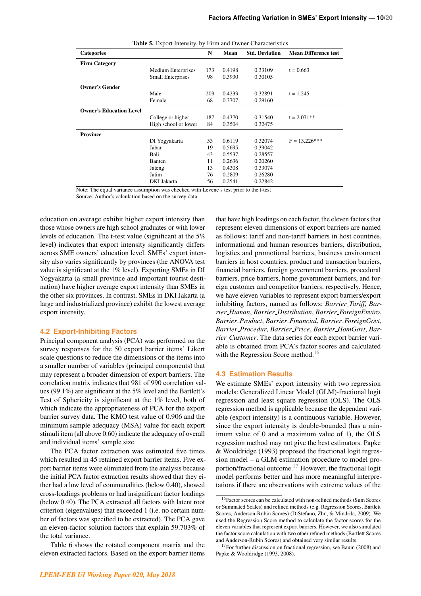|                                | <b>Lable 3.</b> Export intensity, by Firm and Owner Characteristics |     |        |                       |                             |
|--------------------------------|---------------------------------------------------------------------|-----|--------|-----------------------|-----------------------------|
| <b>Categories</b>              |                                                                     | N   | Mean   | <b>Std. Deviation</b> | <b>Mean Difference test</b> |
| <b>Firm Category</b>           |                                                                     |     |        |                       |                             |
|                                | <b>Medium Enterprises</b>                                           | 173 | 0.4198 | 0.33109               | $t = 0.663$                 |
|                                | <b>Small Enterprises</b>                                            | 98  | 0.3930 | 0.30105               |                             |
| <b>Owner's Gender</b>          |                                                                     |     |        |                       |                             |
|                                | Male                                                                | 203 | 0.4233 | 0.32891               | $t = 1.245$                 |
|                                | Female                                                              | 68  | 0.3707 | 0.29160               |                             |
| <b>Owner's Education Level</b> |                                                                     |     |        |                       |                             |
|                                | College or higher                                                   | 187 | 0.4370 | 0.31540               | $t = 2.071**$               |
|                                | High school or lower                                                | 84  | 0.3504 | 0.32475               |                             |
| Province                       |                                                                     |     |        |                       |                             |
|                                | DI Yogyakarta                                                       | 53  | 0.6119 | 0.32074               | $F = 13.226***$             |
|                                | Jabar                                                               | 19  | 0.5695 | 0.39042               |                             |
|                                | Bali                                                                | 43  | 0.5537 | 0.28557               |                             |
|                                | Banten                                                              | 11  | 0.2636 | 0.20260               |                             |
|                                | Jateng                                                              | 13  | 0.4308 | 0.33074               |                             |
|                                | Jatim                                                               | 76  | 0.2809 | 0.26280               |                             |
|                                | DKI Jakarta                                                         | 56  | 0.2541 | 0.22842               |                             |

Table 5. Export Intensity, by Firm and Owner Characteristics

Note: The equal variance assumption was checked with Levene's test prior to the t-test

Source: Author's calculation based on the survey data

education on average exhibit higher export intensity than those whose owners are high school graduates or with lower levels of education. The t-test value (significant at the 5% level) indicates that export intensity significantly differs across SME owners' education level. SMEs' export intensity also varies significantly by provinces (the ANOVA test value is significant at the 1% level). Exporting SMEs in DI Yogyakarta (a small province and important tourist destination) have higher average export intensity than SMEs in the other six provinces. In contrast, SMEs in DKI Jakarta (a large and industrialized province) exhibit the lowest average export intensity.

#### **4.2 Export-Inhibiting Factors**

Principal component analysis (PCA) was performed on the survey responses for the 50 export barrier items' Likert scale questions to reduce the dimensions of the items into a smaller number of variables (principal components) that may represent a broader dimension of export barriers. The correlation matrix indicates that 981 of 990 correlation values (99.1%) are significant at the 5% level and the Bartlett's Test of Sphericity is significant at the 1% level, both of which indicate the appropriateness of PCA for the export barrier survey data. The KMO test value of 0.906 and the minimum sample adequacy (MSA) value for each export stimuli item (all above 0.60) indicate the adequacy of overall and individual items' sample size.

The PCA factor extraction was estimated five times which resulted in 45 retained export barrier items. Five export barrier items were eliminated from the analysis because the initial PCA factor extraction results showed that they either had a low level of communalities (below 0.40), showed cross-loadings problems or had insignificant factor loadings (below 0.40). The PCA extracted all factors with latent root criterion (eigenvalues) that exceeded 1 (i.e. no certain number of factors was specified to be extracted). The PCA gave an eleven-factor solution factors that explain 59.703% of the total variance.

Table 6 shows the rotated component matrix and the eleven extracted factors. Based on the export barrier items that have high loadings on each factor, the eleven factors that represent eleven dimensions of export barriers are named as follows: tariff and non-tariff barriers in host countries, informational and human resources barriers, distribution, logistics and promotional barriers, business environment barriers in host countries, product and transaction barriers, financial barriers, foreign government barriers, procedural barriers, price barriers, home government barriers, and foreign customer and competitor barriers, respectively. Hence, we have eleven variables to represent export barriers/export inhibiting factors, named as follows: *Barrier Tariff*, *Barrier Human*, *Barrier Distribution*, *Barrier ForeignEnviro*, *Barrier Product*, *Barrier Financial*, *Barrier ForeignGovt*, *Barrier Procedur*, *Barrier Price*, *Barrier HomGovt*, *Barrier Customer*. The data series for each export barrier variable is obtained from PCA's factor scores and calculated with the Regression Score method.<sup>[16](#page-11-0)</sup>

#### **4.3 Estimation Results**

We estimate SMEs' export intensity with two regression models: Generalized Linear Model (GLM)-fractional logit regression and least square regression (OLS). The OLS regression method is applicable because the dependent variable (export intensity) is a continuous variable. However, since the export intensity is double-bounded (has a minimum value of 0 and a maximum value of 1), the OLS regression method may not give the best estimators. Papke & Wooldridge (1993) proposed the fractional logit regression model – a GLM estimation procedure to model pro-portion/fractional outcome.<sup>[17](#page-11-1)</sup> However, the fractional logit model performs better and has more meaningful interpretations if there are observations with extreme values of the

<span id="page-11-0"></span><sup>16</sup>Factor scores can be calculated with non-refined methods (Sum Scores or Summated Scales) and refined methods (e.g. Regression Scores, Bartlett Scores, Anderson-Rubin Scores) (DiStefano, Zhu, & Mindrila, 2009). We used the Regression Score method to calculate the factor scores for the eleven variables that represent export barriers. However, we also simulated the factor score calculation with two other refined methods (Bartlett Scores and Anderson-Rubin Scores) and obtained very similar results.

<span id="page-11-1"></span> $17$  For further discussion on fractional regression, see Baum (2008) and Papke & Wooldridge (1993, 2008).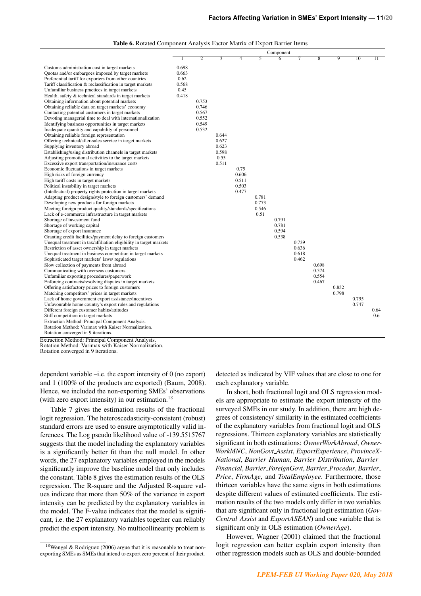|                                                                                            |       |                |                           |                |       | Component      |       |                |       |                 |      |
|--------------------------------------------------------------------------------------------|-------|----------------|---------------------------|----------------|-------|----------------|-------|----------------|-------|-----------------|------|
|                                                                                            |       | $\overline{2}$ | $\overline{\overline{3}}$ | $\overline{4}$ | 5     | $\overline{6}$ |       | $\overline{8}$ | 9     | $\overline{10}$ | 11   |
|                                                                                            |       |                |                           |                |       |                |       |                |       |                 |      |
| Customs administration cost in target markets                                              | 0.698 |                |                           |                |       |                |       |                |       |                 |      |
| Quotas and/or embargoes imposed by target markets                                          | 0.663 |                |                           |                |       |                |       |                |       |                 |      |
| Preferential tariff for exporters from other countries                                     | 0.62  |                |                           |                |       |                |       |                |       |                 |      |
| Tariff classification & reclassification in target markets                                 | 0.568 |                |                           |                |       |                |       |                |       |                 |      |
| Unfamiliar business practices in target markets                                            | 0.45  |                |                           |                |       |                |       |                |       |                 |      |
| Health, safety & technical standards in target markets                                     | 0.418 |                |                           |                |       |                |       |                |       |                 |      |
| Obtaining information about potential markets                                              |       | 0.753          |                           |                |       |                |       |                |       |                 |      |
| Obtaining reliable data on target markets' economy                                         |       | 0.746          |                           |                |       |                |       |                |       |                 |      |
| Contacting potential customers in target markets                                           |       | 0.567          |                           |                |       |                |       |                |       |                 |      |
| Devoting managerial time to deal with internationalization                                 |       | 0.552          |                           |                |       |                |       |                |       |                 |      |
| Identifying business opportunities in target markets                                       |       | 0.549          |                           |                |       |                |       |                |       |                 |      |
| Inadequate quantity and capability of personnel                                            |       | 0.532          |                           |                |       |                |       |                |       |                 |      |
| Obtaining reliable foreign representation                                                  |       |                | 0.644                     |                |       |                |       |                |       |                 |      |
| Offering technical/after-sales service in target markets                                   |       |                | 0.627                     |                |       |                |       |                |       |                 |      |
| Supplying inventory abroad                                                                 |       |                | 0.623                     |                |       |                |       |                |       |                 |      |
| Establishing/using distribution channels in target markets                                 |       |                | 0.598<br>0.55             |                |       |                |       |                |       |                 |      |
| Adjusting promotional activities to the target markets                                     |       |                | 0.511                     |                |       |                |       |                |       |                 |      |
| Excessive export transportation/insurance costs<br>Economic fluctuations in target markets |       |                |                           | 0.75           |       |                |       |                |       |                 |      |
|                                                                                            |       |                |                           | 0.606          |       |                |       |                |       |                 |      |
| High risks of foreign currency<br>High tariff costs in target markets                      |       |                |                           | 0.511          |       |                |       |                |       |                 |      |
| Political instability in target markets                                                    |       |                |                           | 0.503          |       |                |       |                |       |                 |      |
| (Intellectual) property rights protection in target markets                                |       |                |                           | 0.477          |       |                |       |                |       |                 |      |
| Adapting product design/style to foreign customers' demand                                 |       |                |                           |                | 0.781 |                |       |                |       |                 |      |
| Developing new products for foreign markets                                                |       |                |                           |                | 0.773 |                |       |                |       |                 |      |
| Meeting foreign product quality/standards/specifications                                   |       |                |                           |                | 0.546 |                |       |                |       |                 |      |
| Lack of e-commerce infrastructure in target markets                                        |       |                |                           |                | 0.51  |                |       |                |       |                 |      |
| Shortage of investment fund                                                                |       |                |                           |                |       | 0.791          |       |                |       |                 |      |
| Shortage of working capital                                                                |       |                |                           |                |       | 0.781          |       |                |       |                 |      |
| Shortage of export insurance                                                               |       |                |                           |                |       | 0.594          |       |                |       |                 |      |
| Granting credit facilities/payment delay to foreign customers                              |       |                |                           |                |       | 0.538          |       |                |       |                 |      |
| Unequal treatment in tax/affiliation eligibility in target markets                         |       |                |                           |                |       |                | 0.739 |                |       |                 |      |
| Restriction of asset ownership in target markets                                           |       |                |                           |                |       |                | 0.636 |                |       |                 |      |
| Unequal treatment in business competition in target markets                                |       |                |                           |                |       |                | 0.618 |                |       |                 |      |
| Sophisticated target markets' laws/regulations                                             |       |                |                           |                |       |                | 0.462 |                |       |                 |      |
| Slow collection of payments from abroad                                                    |       |                |                           |                |       |                |       | 0.698          |       |                 |      |
| Communicating with overseas customers                                                      |       |                |                           |                |       |                |       | 0.574          |       |                 |      |
| Unfamiliar exporting procedures/paperwork                                                  |       |                |                           |                |       |                |       | 0.554          |       |                 |      |
| Enforcing contracts/resolving disputes in target markets                                   |       |                |                           |                |       |                |       | 0.467          |       |                 |      |
| Offering satisfactory prices to foreign customers                                          |       |                |                           |                |       |                |       |                | 0.832 |                 |      |
| Matching competitors' prices in target markets                                             |       |                |                           |                |       |                |       |                | 0.798 |                 |      |
| Lack of home government export assistance/incentives                                       |       |                |                           |                |       |                |       |                |       | 0.795           |      |
| Unfavourable home country's export rules and regulations                                   |       |                |                           |                |       |                |       |                |       | 0.747           |      |
| Different foreign customer habits/attitudes                                                |       |                |                           |                |       |                |       |                |       |                 | 0.64 |
| Stiff competition in target markets                                                        |       |                |                           |                |       |                |       |                |       |                 | 0.6  |
| Extraction Method: Principal Component Analysis.                                           |       |                |                           |                |       |                |       |                |       |                 |      |
| Rotation Method: Varimax with Kaiser Normalization.                                        |       |                |                           |                |       |                |       |                |       |                 |      |
| Rotation converged in 9 iterations.                                                        |       |                |                           |                |       |                |       |                |       |                 |      |

Table 6. Rotated Component Analysis Factor Matrix of Export Barrier Items

Extraction Method: Principal Component Analysis. Rotation Method: Varimax with Kaiser Normalization.

Rotation converged in 9 iterations.

dependent variable –i.e. the export intensity of 0 (no export) and 1 (100% of the products are exported) (Baum, 2008). Hence, we included the non-exporting SMEs' observations (with zero export intensity) in our estimation.<sup>[18](#page-12-0)</sup>

Table 7 gives the estimation results of the fractional logit regression. The heteroscedasticity-consistent (robust) standard errors are used to ensure asymptotically valid inferences. The Log pseudo likelihood value of -139.5515767 suggests that the model including the explanatory variables is a significantly better fit than the null model. In other words, the 27 explanatory variables employed in the models significantly improve the baseline model that only includes the constant. Table 8 gives the estimation results of the OLS regression. The R-square and the Adjusted R-square values indicate that more than 50% of the variance in export intensity can be predicted by the explanatory variables in the model. The F-value indicates that the model is significant, i.e. the 27 explanatory variables together can reliably predict the export intensity. No multicollinearity problem is detected as indicated by VIF values that are close to one for each explanatory variable.

In short, both fractional logit and OLS regression models are appropriate to estimate the export intensity of the surveyed SMEs in our study. In addition, there are high degrees of consistency/ similarity in the estimated coefficients of the explanatory variables from fractional logit and OLS regressions. Thirteen explanatory variables are statistically significant in both estimations: *OwnerWorkAbroad*, *Owner-WorkMNC*, *NonGovt Assist*, *ExportExperience*, *ProvinceX-National*, *Barrier Human*, *Barrier Distribution*, *Barrier Financial*, *Barrier ForeignGovt*, *Barrier Procedur*, *Barrier Price*, *FirmAge*, and *TotalEmployee*. Furthermore, those thirteen variables have the same signs in both estimations despite different values of estimated coefficients. The estimation results of the two models only differ in two variables that are significant only in fractional logit estimation (*Gov-Central Assist* and *ExportASEAN*) and one variable that is significant only in OLS estimation (*OwnerAge*).

However, Wagner (2001) claimed that the fractional logit regression can better explain export intensity than other regression models such as OLS and double-bounded

<span id="page-12-0"></span><sup>18</sup>Wengel & Rodriguez (2006) argue that it is reasonable to treat nonexporting SMEs as SMEs that intend to export zero percent of their product.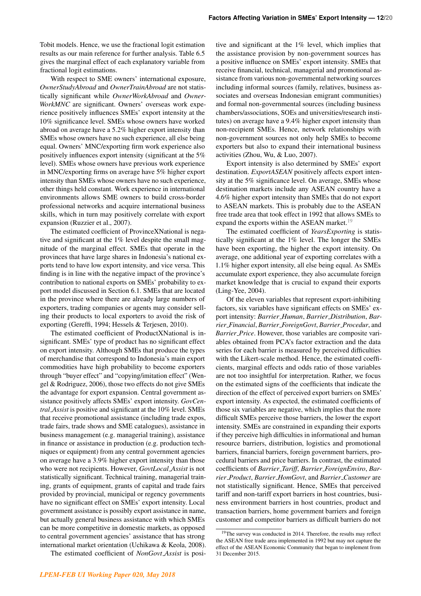Tobit models. Hence, we use the fractional logit estimation results as our main reference for further analysis. Table 6.5 gives the marginal effect of each explanatory variable from fractional logit estimations.

With respect to SME owners' international exposure, *OwnerStudyAbroad* and *OwnerTrainAbroad* are not statistically significant while *OwnerWorkAbroad* and *Owner-WorkMNC* are significant. Owners' overseas work experience positively influences SMEs' export intensity at the 10% significance level. SMEs whose owners have worked abroad on average have a 5.2% higher export intensity than SMEs whose owners have no such experience, all else being equal. Owners' MNC/exporting firm work experience also positively influences export intensity (significant at the 5% level). SMEs whose owners have previous work experience in MNC/exporting firms on average have 5% higher export intensity than SMEs whose owners have no such experience, other things held constant. Work experience in international environments allows SME owners to build cross-border professional networks and acquire international business skills, which in turn may positively correlate with export expansion (Ruzzier et al., 2007).

The estimated coefficient of ProvinceXNational is negative and significant at the 1% level despite the small magnitude of the marginal effect. SMEs that operate in the provinces that have large shares in Indonesia's national exports tend to have low export intensity, and vice versa. This finding is in line with the negative impact of the province's contribution to national exports on SMEs' probability to export model discussed in Section 6.1. SMEs that are located in the province where there are already large numbers of exporters, trading companies or agents may consider selling their products to local exporters to avoid the risk of exporting (Gereffi, 1994; Hessels & Terjesen, 2010).

The estimated coefficient of ProductXNational is insignificant. SMEs' type of product has no significant effect on export intensity. Although SMEs that produce the types of merchandise that correspond to Indonesia's main export commodities have high probability to become exporters through "buyer effect" and "copying/imitation effect" (Wengel & Rodriguez, 2006), those two effects do not give SMEs the advantage for export expansion. Central government assistance positively affects SMEs' export intensity. *GovCentral Assist* is positive and significant at the 10% level. SMEs that receive promotional assistance (including trade expos, trade fairs, trade shows and SME catalogues), assistance in business management (e.g. managerial training), assistance in finance or assistance in production (e.g. production techniques or equipment) from any central government agencies on average have a 3.9% higher export intensity than those who were not recipients. However, *GovtLocal Assist* is not statistically significant. Technical training, managerial training, grants of equipment, grants of capital and trade fairs provided by provincial, municipal or regency governments have no significant effect on SMEs' export intensity. Local government assistance is possibly export assistance in name, but actually general business assistance with which SMEs can be more competitive in domestic markets, as opposed to central government agencies' assistance that has strong international market orientation (Uchikawa & Keola, 2008).

The estimated coefficient of *NonGovt Assist* is posi-

tive and significant at the 1% level, which implies that the assistance provision by non-government sources has a positive influence on SMEs' export intensity. SMEs that receive financial, technical, managerial and promotional assistance from various non-governmental networking sources including informal sources (family, relatives, business associates and overseas Indonesian emigrant communities) and formal non-governmental sources (including business chambers/associations, SOEs and universities/research institutes) on average have a 9.4% higher export intensity than non-recipient SMEs. Hence, network relationships with non-government sources not only help SMEs to become exporters but also to expand their international business activities (Zhou, Wu, & Luo, 2007).

Export intensity is also determined by SMEs' export destination. *ExportASEAN* positively affects export intensity at the 5% significance level. On average, SMEs whose destination markets include any ASEAN country have a 4.6% higher export intensity than SMEs that do not export to ASEAN markets. This is probably due to the ASEAN free trade area that took effect in 1992 that allows SMEs to expand the exports within the ASEAN market.<sup>[19](#page-13-0)</sup>

The estimated coefficient of *YearsExporting* is statistically significant at the 1% level. The longer the SMEs have been exporting, the higher the export intensity. On average, one additional year of exporting correlates with a 1.1% higher export intensity, all else being equal. As SMEs accumulate export experience, they also accumulate foreign market knowledge that is crucial to expand their exports (Ling-Yee, 2004).

Of the eleven variables that represent export-inhibiting factors, six variables have significant effects on SMEs' export intensity: *Barrier Human*, *Barrier Distribution*, *Barrier Financial*, *Barrier ForeignGovt*, *Barrier Procedur*, and *Barrier Price*. However, those variables are composite variables obtained from PCA's factor extraction and the data series for each barrier is measured by perceived difficulties with the Likert-scale method. Hence, the estimated coefficients, marginal effects and odds ratio of those variables are not too insightful for interpretation. Rather, we focus on the estimated signs of the coefficients that indicate the direction of the effect of perceived export barriers on SMEs' export intensity. As expected, the estimated coefficients of those six variables are negative, which implies that the more difficult SMEs perceive those barriers, the lower the export intensity. SMEs are constrained in expanding their exports if they perceive high difficulties in informational and human resource barriers, distribution, logistics and promotional barriers, financial barriers, foreign government barriers, procedural barriers and price barriers. In contrast, the estimated coefficients of *Barrier Tariff*, *Barrier ForeignEnviro*, *Barrier Product*, *Barrier HomGovt*, and *Barrier Customer* are not statistically significant. Hence, SMEs that perceived tariff and non-tariff export barriers in host countries, business environment barriers in host countries, product and transaction barriers, home government barriers and foreign customer and competitor barriers as difficult barriers do not

<span id="page-13-0"></span><sup>&</sup>lt;sup>19</sup>The survey was conducted in 2014. Therefore, the results may reflect the ASEAN free trade area implemented in 1992 but may not capture the effect of the ASEAN Economic Community that began to implement from 31 December 2015.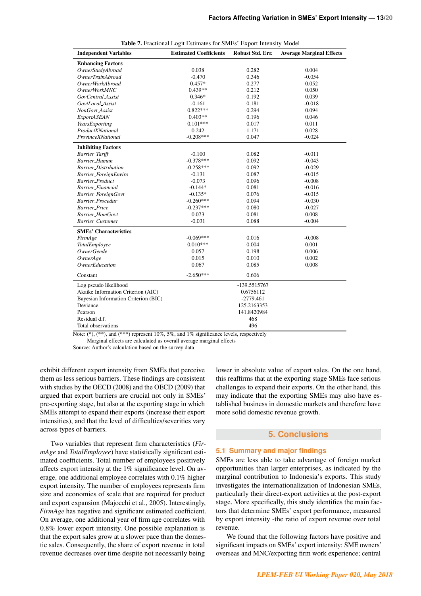| <b>Independent Variables</b>         | <b>Estimated Coefficients</b> | Robust Std. Err. | <b>Average Marginal Effects</b> |
|--------------------------------------|-------------------------------|------------------|---------------------------------|
| <b>Enhancing Factors</b>             |                               |                  |                                 |
| OwnerStudyAbroad                     | 0.038                         | 0.282            | 0.004                           |
| <b>OwnerTrainAbroad</b>              | $-0.470$                      | 0.346            | $-0.054$                        |
| <b>OwnerWorkAbroad</b>               | $0.457*$                      | 0.277            | 0.052                           |
| <b>OwnerWorkMNC</b>                  | $0.439**$                     | 0.212            | 0.050                           |
| GovCentral_Assist                    | $0.346*$                      | 0.192            | 0.039                           |
| GovtLocal_Assist                     | $-0.161$                      | 0.181            | $-0.018$                        |
| NonGovt_Assist                       | $0.822***$                    | 0.294            | 0.094                           |
| ExportASEAN                          | $0.403**$                     | 0.196            | 0.046                           |
| YearsExporting                       | $0.101***$                    | 0.017            | 0.011                           |
| ProductXNational                     | 0.242                         | 1.171            | 0.028                           |
| ProvinceXNational                    | $-0.208***$                   | 0.047            | $-0.024$                        |
| <b>Inhibiting Factors</b>            |                               |                  |                                 |
| <b>Barrier_Tariff</b>                | $-0.100$                      | 0.082            | $-0.011$                        |
| <b>Barrier_Human</b>                 | $-0.378***$                   | 0.092            | $-0.043$                        |
| <b>Barrier_Distribution</b>          | $-0.258***$                   | 0.092            | $-0.029$                        |
| Barrier_ForeignEnviro                | $-0.131$                      | 0.087            | $-0.015$                        |
| <b>Barrier_Product</b>               | $-0.073$                      | 0.096            | $-0.008$                        |
| <b>Barrier_Financial</b>             | $-0.144*$                     | 0.081            | $-0.016$                        |
| Barrier_ForeignGovt                  | $-0.135*$                     | 0.076            | $-0.015$                        |
| Barrier_Procedur                     | $-0.260***$                   | 0.094            | $-0.030$                        |
| <b>Barrier_Price</b>                 | $-0.237***$                   | 0.080            | $-0.027$                        |
| <b>Barrier_HomGovt</b>               | 0.073                         | 0.081            | 0.008                           |
| Barrier_Customer                     | $-0.031$                      | 0.088            | $-0.004$                        |
| <b>SMEs' Characteristics</b>         |                               |                  |                                 |
| FirmAge                              | $-0.069***$                   | 0.016            | $-0.008$                        |
| TotalEmployee                        | $0.010***$                    | 0.004            | 0.001                           |
| <b>OwnerGende</b>                    | 0.057                         | 0.198            | 0.006                           |
| OwnerAge                             | 0.015                         | 0.010            | 0.002                           |
| <i><b>OwnerEducation</b></i>         | 0.067                         | 0.085            | 0.008                           |
| Constant                             | $-2.650***$                   | 0.606            |                                 |
| Log pseudo likelihood                |                               | -139.5515767     |                                 |
| Akaike Information Criterion (AIC)   |                               | 0.6756112        |                                 |
| Bayesian Information Criterion (BIC) |                               | -2779.461        |                                 |
| Deviance                             |                               | 125.2163353      |                                 |
| Pearson                              |                               | 141.8420984      |                                 |
| Residual d.f.                        |                               | 468              |                                 |
| Total observations                   |                               | 496              |                                 |

| Table 7. Fractional Logit Estimates for SMEs' Export Intensity Model |  |
|----------------------------------------------------------------------|--|
|----------------------------------------------------------------------|--|

Note:  $(*),$   $(**),$  and  $(***)$  represent 10%, 5%, and 1% significance levels, respectively

Marginal effects are calculated as overall average marginal effects

Source: Author's calculation based on the survey data

exhibit different export intensity from SMEs that perceive them as less serious barriers. These findings are consistent with studies by the OECD (2008) and the OECD (2009) that argued that export barriers are crucial not only in SMEs' pre-exporting stage, but also at the exporting stage in which SMEs attempt to expand their exports (increase their export intensities), and that the level of difficulties/severities vary across types of barriers.

Two variables that represent firm characteristics (*FirmAge* and *TotalEmployee*) have statistically significant estimated coefficients. Total number of employees positively affects export intensity at the 1% significance level. On average, one additional employee correlates with 0.1% higher export intensity. The number of employees represents firm size and economies of scale that are required for product and export expansion (Majocchi et al., 2005). Interestingly, *FirmAge* has negative and significant estimated coefficient. On average, one additional year of firm age correlates with 0.8% lower export intensity. One possible explanation is that the export sales grow at a slower pace than the domestic sales. Consequently, the share of export revenue in total revenue decreases over time despite not necessarily being lower in absolute value of export sales. On the one hand, this reaffirms that at the exporting stage SMEs face serious challenges to expand their exports. On the other hand, this may indicate that the exporting SMEs may also have established business in domestic markets and therefore have more solid domestic revenue growth.

## **5. Conclusions**

## **5.1 Summary and major findings**

SMEs are less able to take advantage of foreign market opportunities than larger enterprises, as indicated by the marginal contribution to Indonesia's exports. This study investigates the internationalization of Indonesian SMEs, particularly their direct-export activities at the post-export stage. More specifically, this study identifies the main factors that determine SMEs' export performance, measured by export intensity -the ratio of export revenue over total revenue.

We found that the following factors have positive and significant impacts on SMEs' export intensity: SME owners' overseas and MNC/exporting firm work experience; central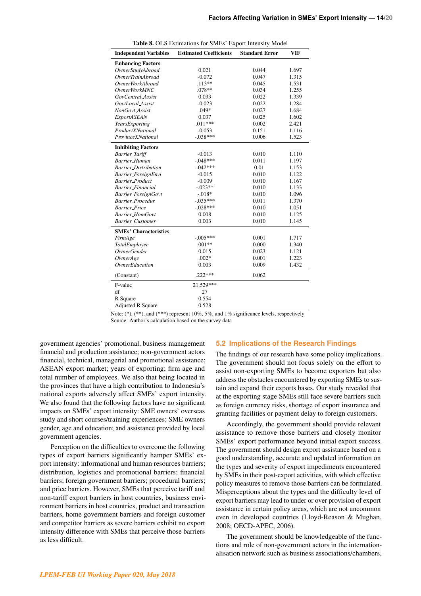|                                | <b>Table 8.</b> OLS Estimations for SMES Export intensity Model |                       |            |
|--------------------------------|-----------------------------------------------------------------|-----------------------|------------|
| <b>Independent Variables</b>   | <b>Estimated Coefficients</b>                                   | <b>Standard Error</b> | <b>VIF</b> |
| <b>Enhancing Factors</b>       |                                                                 |                       |            |
| OwnerStudyAbroad               | 0.021                                                           | 0.044                 | 1.697      |
| <i><b>OwnerTrainAbroad</b></i> | $-0.072$                                                        | 0.047                 | 1.315      |
| OwnerWorkAbroad                | $.113**$                                                        | 0.045                 | 1.531      |
| <i>OwnerWorkMNC</i>            | .078**                                                          | 0.034                 | 1.255      |
| GovCentral_Assist              | 0.033                                                           | 0.022                 | 1.339      |
| GovtLocal Assist               | $-0.023$                                                        | 0.022                 | 1.284      |
| NonGovt_Assist                 | $.049*$                                                         | 0.027                 | 1.684      |
| ExportASEAN                    | 0.037                                                           | 0.025                 | 1.602      |
| YearsExporting                 | $.011***$                                                       | 0.002                 | 2.421      |
| ProductXNational               | $-0.053$                                                        | 0.151                 | 1.116      |
| ProvinceXNational              | $-.038***$                                                      | 0.006                 | 1.523      |
| <b>Inhibiting Factors</b>      |                                                                 |                       |            |
| <b>Barrier_Tariff</b>          | $-0.013$                                                        | 0.010                 | 1.110      |
| <b>Barrier_Human</b>           | $-.048***$                                                      | 0.011                 | 1.197      |
| <b>Barrier_Distribution</b>    | $-.042***$                                                      | 0.01                  | 1.153      |
| Barrier_ForeignEnvi            | $-0.015$                                                        | 0.010                 | 1.122      |
| <b>Barrier_Product</b>         | $-0.009$                                                        | 0.010                 | 1.167      |
| <b>Barrier_Financial</b>       | $-.023**$                                                       | 0.010                 | 1.133      |
| Barrier_ForeignGovt            | $-.018*$                                                        | 0.010                 | 1.096      |
| Barrier_Procedur               | $-.035***$                                                      | 0.011                 | 1.370      |
| <b>Barrier_Price</b>           | $-.028***$                                                      | 0.010                 | 1.051      |
| <b>Barrier_HomGovt</b>         | 0.008                                                           | 0.010                 | 1.125      |
| <b>Barrier_Customer</b>        | 0.003                                                           | 0.010                 | 1.145      |
| <b>SMEs' Characteristics</b>   |                                                                 |                       |            |
| FirmAge                        | $-.005***$                                                      | 0.001                 | 1.717      |
| TotalEmployee                  | $.001**$                                                        | 0.000                 | 1.340      |
| <b>OwnerGender</b>             | 0.015                                                           | 0.023                 | 1.121      |
| OwnerAge                       | $.002*$                                                         | 0.001                 | 1.223      |
| <b>OwnerEducation</b>          | 0.003                                                           | 0.009                 | 1.432      |
| (Constant)                     | $.222***$                                                       | 0.062                 |            |
| F-value                        | 21.529***                                                       |                       |            |
| df                             | 27                                                              |                       |            |
| R Square                       | 0.554                                                           |                       |            |
| <b>Adjusted R Square</b>       | 0.528                                                           |                       |            |

|--|

Note:  $(*),$   $(**)$ , and  $(***)$  represent 10%, 5%, and 1% significance levels, respectively Source: Author's calculation based on the survey data

government agencies' promotional, business management financial and production assistance; non-government actors financial, technical, managerial and promotional assistance; ASEAN export market; years of exporting; firm age and total number of employees. We also that being located in the provinces that have a high contribution to Indonesia's national exports adversely affect SMEs' export intensity. We also found that the following factors have no significant impacts on SMEs' export intensity: SME owners' overseas study and short courses/training experiences; SME owners gender, age and education; and assistance provided by local government agencies.

Perception on the difficulties to overcome the following types of export barriers significantly hamper SMEs' export intensity: informational and human resources barriers; distribution, logistics and promotional barriers; financial barriers; foreign government barriers; procedural barriers; and price barriers. However, SMEs that perceive tariff and non-tariff export barriers in host countries, business environment barriers in host countries, product and transaction barriers, home government barriers and foreign customer and competitor barriers as severe barriers exhibit no export intensity difference with SMEs that perceive those barriers as less difficult.

## **5.2 Implications of the Research Findings**

The findings of our research have some policy implications. The government should not focus solely on the effort to assist non-exporting SMEs to become exporters but also address the obstacles encountered by exporting SMEs to sustain and expand their exports bases. Our study revealed that at the exporting stage SMEs still face severe barriers such as foreign currency risks, shortage of export insurance and granting facilities or payment delay to foreign customers.

Accordingly, the government should provide relevant assistance to remove those barriers and closely monitor SMEs' export performance beyond initial export success. The government should design export assistance based on a good understanding, accurate and updated information on the types and severity of export impediments encountered by SMEs in their post-export activities, with which effective policy measures to remove those barriers can be formulated. Misperceptions about the types and the difficulty level of export barriers may lead to under or over provision of export assistance in certain policy areas, which are not uncommon even in developed countries (Lloyd-Reason & Mughan, 2008; OECD-APEC, 2006).

The government should be knowledgeable of the functions and role of non-government actors in the internationalisation network such as business associations/chambers,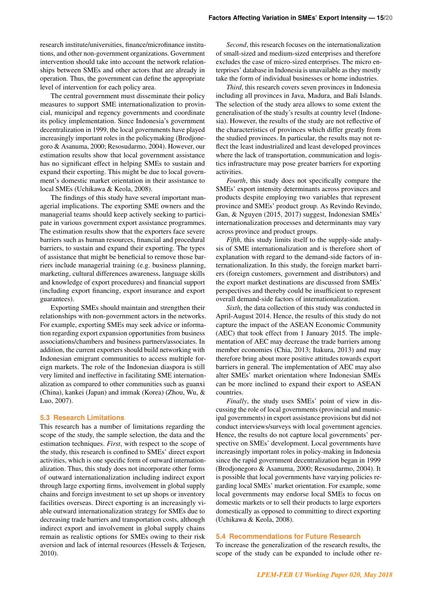research institute/universities, finance/microfinance institutions, and other non-government organizations. Government intervention should take into account the network relationships between SMEs and other actors that are already in operation. Thus, the government can define the appropriate level of intervention for each policy area.

The central government must disseminate their policy measures to support SME internationalization to provincial, municipal and regency governments and coordinate its policy implementation. Since Indonesia's government decentralization in 1999, the local governments have played increasingly important roles in the policymaking (Brodjonegoro & Asanuma, 2000; Resosudarmo, 2004). However, our estimation results show that local government assistance has no significant effect in helping SMEs to sustain and expand their exporting. This might be due to local government's domestic market orientation in their assistance to local SMEs (Uchikawa & Keola, 2008).

The findings of this study have several important managerial implications. The exporting SME owners and the managerial teams should keep actively seeking to participate in various government export assistance programmes. The estimation results show that the exporters face severe barriers such as human resources, financial and procedural barriers, to sustain and expand their exporting. The types of assistance that might be beneficial to remove those barriers include managerial training (e.g. business planning, marketing, cultural differences awareness, language skills and knowledge of export procedures) and financial support (including export financing, export insurance and export guarantees).

Exporting SMEs should maintain and strengthen their relationships with non-government actors in the networks. For example, exporting SMEs may seek advice or information regarding export expansion opportunities from business associations/chambers and business partners/associates. In addition, the current exporters should build networking with Indonesian emigrant communities to access multiple foreign markets. The role of the Indonesian diaspora is still very limited and ineffective in facilitating SME internationalization as compared to other communities such as guanxi (China), kankei (Japan) and immak (Korea) (Zhou, Wu, & Luo, 2007).

#### **5.3 Research Limitations**

This research has a number of limitations regarding the scope of the study, the sample selection, the data and the estimation techniques. *First*, with respect to the scope of the study, this research is confined to SMEs' direct export activities, which is one specific form of outward internationalization. Thus, this study does not incorporate other forms of outward internationalization including indirect export through large exporting firms, involvement in global supply chains and foreign investment to set up shops or inventory facilities overseas. Direct exporting is an increasingly viable outward internationalization strategy for SMEs due to decreasing trade barriers and transportation costs, although indirect export and involvement in global supply chains remain as realistic options for SMEs owing to their risk aversion and lack of internal resources (Hessels & Terjesen, 2010).

*Second*, this research focuses on the internationalization of small-sized and medium-sized enterprises and therefore excludes the case of micro-sized enterprises. The micro enterprises' database in Indonesia is unavailable as they mostly take the form of individual businesses or home industries.

*Third*, this research covers seven provinces in Indonesia including all provinces in Java, Madura, and Bali Islands. The selection of the study area allows to some extent the generalisation of the study's results at country level (Indonesia). However, the results of the study are not reflective of the characteristics of provinces which differ greatly from the studied provinces. In particular, the results may not reflect the least industrialized and least developed provinces where the lack of transportation, communication and logistics infrastructure may pose greater barriers for exporting activities.

*Fourth*, this study does not specifically compare the SMEs' export intensity determinants across provinces and products despite employing two variables that represent province and SMEs' product group. As Revindo Revindo, Gan, & Nguyen (2015, 2017) suggest, Indonesian SMEs' internationalization processes and determinants may vary across province and product groups.

*Fifth*, this study limits itself to the supply-side analysis of SME internationalization and is therefore short of explanation with regard to the demand-side factors of internationalization. In this study, the foreign market barriers (foreign customers, government and distributors) and the export market destinations are discussed from SMEs' perspectives and thereby could be insufficient to represent overall demand-side factors of internationalization.

*Sixth*, the data collection of this study was conducted in April-August 2014. Hence, the results of this study do not capture the impact of the ASEAN Economic Community (AEC) that took effect from 1 January 2015. The implementation of AEC may decrease the trade barriers among member economies (Chia, 2013; Itakura, 2013) and may therefore bring about more positive attitudes towards export barriers in general. The implementation of AEC may also alter SMEs' market orientation where Indonesian SMEs can be more inclined to expand their export to ASEAN countries.

*Finally*, the study uses SMEs' point of view in discussing the role of local governments (provincial and municipal governments) in export assistance provisions but did not conduct interviews/surveys with local government agencies. Hence, the results do not capture local governments' perspective on SMEs' development. Local governments have increasingly important roles in policy-making in Indonesia since the rapid government decentralization began in 1999 (Brodjonegoro & Asanuma, 2000; Resosudarmo, 2004). It is possible that local governments have varying policies regarding local SMEs' market orientation. For example, some local governments may endorse local SMEs to focus on domestic markets or to sell their products to large exporters domestically as opposed to committing to direct exporting (Uchikawa & Keola, 2008).

#### **5.4 Recommendations for Future Research**

To increase the generalization of the research results, the scope of the study can be expanded to include other re-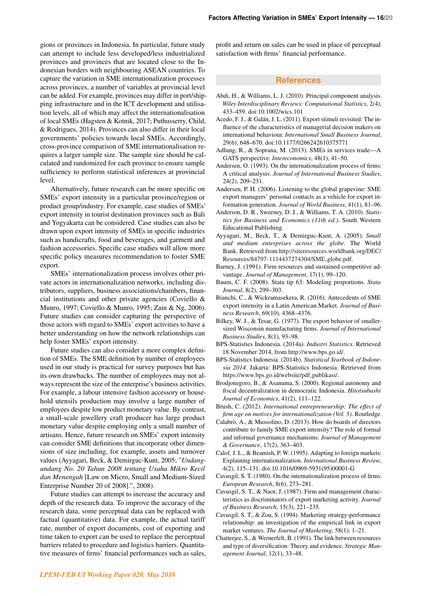gions or provinces in Indonesia. In particular, future study can attempt to include less developed/less industrialized provinces and provinces that are located close to the Indonesian borders with neighbouring ASEAN countries. To capture the variation in SME internationalization processes across provinces, a number of variables at provincial level can be added. For example, provinces may differ in port/shipping infrastructure and in the ICT development and utilisation levels, all of which may affect the internationalisation of local SMEs (Hagsten & Kotnik, 2017; Puthusserry, Child, & Rodrigues, 2014). Provinces can also differ in their local governments' policies towards local SMEs. Accordingly, cross-province comparison of SME internationalisation requires a larger sample size. The sample size should be calculated and randomized for each province to ensure sample sufficiency to perform statistical inferences at provincial level.

Alternatively, future research can be more specific on SMEs' export intensity in a particular province/region or product group/industry. For example, case studies of SMEs' export intensity in tourist destination provinces such as Bali and Yogyakarta can be considered. Case studies can also be drawn upon export intensity of SMEs in specific industries such as handicrafts, food and beverages, and garment and fashion accessories. Specific case studies will allow more specific policy measures recommendation to foster SME export.

SMEs' internationalization process involves other private actors in internationalization networks, including distributors, suppliers, business associations/chambers, financial institutions and other private agencies (Coviello & Munro, 1997; Coviello & Munro, 1995; Zain & Ng, 2006). Future studies can consider capturing the perspective of those actors with regard to SMEs' export activities to have a better understanding on how the network relationships can help foster SMEs' export intensity.

Future studies can also consider a more complex definition of SMEs. The SME definition by number of employees used in our study is practical for survey purposes but has its own drawbacks. The number of employees may not always represent the size of the enterprise's business activities. For example, a labour intensive fashion accessory or household utensils production may involve a large number of employees despite low product monetary value. By contrast, a small-scale jewellery craft producer has large product monetary value despite employing only a small number of artisans. Hence, future research on SMEs' export intensity can consider SME definitions that incorporate other dimensions of size including, for example, assets and turnover values (Ayyagari, Beck, & Demirguc-Kunt, 2005; "*Undangundang No. 20 Tahun 2008 tentang Usaha Mikro Kecil dan Menengah* [Law on Micro, Small and Medium-Sized Enterprise Number 20 of 2008].", 2008).

Future studies can attempt to increase the accuracy and depth of the research data. To improve the accuracy of the research data, some perceptual data can be replaced with factual (quantitative) data. For example, the actual tariff rate, number of export documents, cost of exporting and time taken to export can be used to replace the perceptual barriers related to procedure and logistics barriers. Quantitative measures of firms' financial performances such as sales, profit and return on sales can be used in place of perceptual satisfaction with firms' financial performance.

## **References**

- Abdi, H., & Williams, L. J. (2010). Principal component analysis. *Wiley Interdisciplinary Reviews: Computational Statistics*, 2(4), 433–459. doi:10.1002/wics.101
- Acedo, F. J., & Galán, J. L. (2011). Export stimuli revisited: The influence of the characteristics of managerial decision makers on international behaviour. *International Small Business Journal*, 29(6), 648–670. doi:10.1177/0266242610375771
- Adlung, R., & Soprana, M. (2013). SMEs in services trade—A GATS perspective. *Intereconomics*, 48(1), 41–50.
- Andersen, O. (1993). On the internationalization process of firms: A critical analysis. *Journal of International Business Studies*, 24(2), 209–231.
- Andersen, P. H. (2006). Listening to the global grapevine: SME export managers' personal contacts as a vehicle for export information generation. *Journal of World Business*, 41(1), 81–96.
- Anderson, D. R., Sweeney, D. J., & Williams, T. A. (2010). *Statistics for Business and Economics (11th ed.)*. South Western Educational Publishing.
- Ayyagari, M., Beck, T., & Demirguc-Kunt, A. (2005). *Small and medium enterprises across the globe*. The World Bank. Retrieved from [http://siteresources.worldbank.org/DEC/](http://siteresources.worldbank.org/DEC/Resources/84797-1114437274304/SME_globe.pdf) [Resources/84797-1114437274304/SME](http://siteresources.worldbank.org/DEC/Resources/84797-1114437274304/SME_globe.pdf) globe.pdf.
- Barney, J. (1991). Firm resources and sustained competitive advantage. *Journal of Management*, 17(1), 99–120.
- Baum, C. F. (2008). Stata tip 63: Modeling proportions. *Stata Journal*, 8(2), 299–303.
- Bianchi, C., & Wickramasekera, R. (2016). Antecedents of SME export intensity in a Latin American Market. *Journal of Business Research*, 69(10), 4368–4376.
- Bilkey, W. J., & Tesar, G. (1977). The export behavior of smallersized Wisconsin manufacturing firms. *Journal of International Business Studies*, 8(1), 93–98.
- BPS-Statistics Indonesia. (2014a). *Industri Statistics*. Retrieved 18 November 2014, from [http://www.bps.go.id/.](http://www.bps.go.id/)
- BPS-Statistics Indonesia. (2014b). *Statistical Yearbook of Indonesia 2014*. Jakarta: BPS-Statistics Indonesia. Retrieved from [https://www.bps.go.id/website/pdf](https://www.bps.go.id/website/pdf_publikasi/)\_publikasi/.
- Brodjonegoro, B., & Asanuma, S. (2000). Regional autonomy and fiscal decentralization in democratic Indonesia. *Hitotsubashi Journal of Economics*, 41(2), 111–122.
- Brush, C. (2012). *International entrepreneurship: The effect of firm age on motives for internationalization (Vol. 5)*. Routledge.
- Calabrò, A., & Mussolino, D. (2013). How do boards of directors contribute to family SME export intensity? The role of formal and informal governance mechanisms. *Journal of Management & Governance*, 17(2), 363–403.
- Calof, J. L., & Beamish, P. W. (1995). Adapting to foreign markets: Explaining internationalization. *International Business Review*, 4(2), 115–131. doi:10.1016/0969-5931(95)00001-G
- Cavusgil, S. T. (1980). On the internationalization process of firms. *European Research*, 8(6), 273–281.
- Cavusgil, S. T., & Naor, J. (1987). Firm and management characteristics as discriminators of export marketing activity. *Journal of Business Research*, 15(3), 221–235.
- Cavusgil, S. T., & Zou, S. (1994). Marketing strategy-performance relationship: an investigation of the empirical link in export market ventures. *The Journal of Marketing*, 58(1), 1–21.
- Chatterjee, S., & Wernerfelt, B. (1991). The link between resources and type of diversification: Theory and evidence. *Strategic Management Journal*, 12(1), 33–48.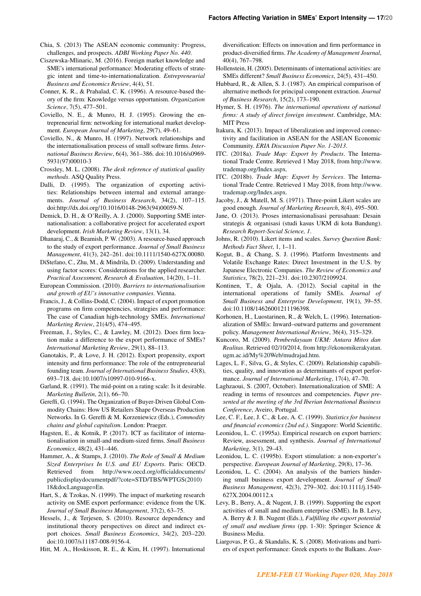- Chia, S. (2013) The ASEAN economic community: Progress, challenges, and prospects. *ADBI Working Paper No. 440*.
- Ciszewska-Mlinaric, M. (2016). Foreign market knowledge and SME's international performance: Moderating effects of strategic intent and time-to-internationalization. *Entrepreneurial Business and Economics Review*, 4(4), 51.
- Conner, K. R., & Prahalad, C. K. (1996). A resource-based theory of the firm: Knowledge versus opportunism. *Organization Science*, 7(5), 477–501.
- Coviello, N. E., & Munro, H. J. (1995). Growing the entrepreneurial firm: networking for international market development. *European Journal of Marketing*, 29(7), 49–61.
- Coviello, N., & Munro, H. (1997). Network relationships and the internationalisation process of small software firms. *International Business Review*, 6(4), 361–386. doi:10.1016/s0969- 5931(97)00010-3
- Crossley, M. L. (2008). *The desk reference of statistical quality methods*. ASQ Quality Press.
- Dalli, D. (1995). The organization of exporting activities: Relationships between internal and external arrangements. *Journal of Business Research*, 34(2), 107–115. doi:http://dx.doi.org/10.1016/0148-2963(94)00059-N.
- Demick, D. H., & O'Reilly, A. J. (2000). Supporting SME internationalisation: a collaborative project for accelerated export development. *Irish Marketing Review*, 13(1), 34.
- Dhanaraj, C., & Beamish, P. W. (2003). A resource-based approach to the study of export performance. *Journal of Small Business Management*, 41(3), 242–261. doi:10.1111/1540-627X.00080.
- DiStefano, C., Zhu, M., & Mindrila, D. (2009). Understanding and using factor scores: Considerations for the applied researcher. *Practical Assessment, Research & Evaluation*, 14(20), 1–11.
- European Commission. (2010). *Barriers to internationalisation and growth of EU's innovative companies*. Vienna.
- Francis, J., & Collins-Dodd, C. (2004). Impact of export promotion programs on firm competencies, strategies and performance: The case of Canadian high-technology SMEs. *International Marketing Review*, 21(4/5), 474–495.
- Freeman, J., Styles, C., & Lawley, M. (2012). Does firm location make a difference to the export performance of SMEs? *International Marketing Review*, 29(1), 88–113.
- Ganotakis, P., & Love, J. H. (2012). Export propensity, export intensity and firm performance: The role of the entrepreneurial founding team. *Journal of International Business Studies*, 43(8), 693–718. doi:10.1007/s10997-010-9166-x.
- Garland, R. (1991). The mid-point on a rating scale: Is it desirable. *Marketing Bulletin*, 2(1), 66–70.
- Gereffi, G. (1994). The Organization of Buyer-Driven Global Commodity Chains: How US Retailers Shape Overseas Production Networks. In G. Gereffi & M. Korzeniewicz (Eds.), *Commodity chains and global capitalism*. London: Praeger.
- Hagsten, E., & Kotnik, P. (2017). ICT as facilitator of internationalisation in small-and medium-sized firms. *Small Business Economics*, 48(2), 431–446.
- Hammer, A., & Stamps, J. (2010). *The Role of Small & Medium Sized Enterprises In U.S. and EU Exports*. Paris: OECD. Retrieved from [http://www.oecd.org/officialdocuments/](http://www.oecd.org/officialdocuments/publicdisplaydocumentpdf/?cote=STD/TBS/WPTGS(2010)18&docLanguage=En) [publicdisplaydocumentpdf/?cote=STD/TBS/WPTGS\(2010\)](http://www.oecd.org/officialdocuments/publicdisplaydocumentpdf/?cote=STD/TBS/WPTGS(2010)18&docLanguage=En) [18&docLanguage=En.](http://www.oecd.org/officialdocuments/publicdisplaydocumentpdf/?cote=STD/TBS/WPTGS(2010)18&docLanguage=En)
- Hart, S., & Tzokas, N. (1999). The impact of marketing research activity on SME export performance: evidence from the UK. *Journal of Small Business Management*, 37(2), 63–75.
- Hessels, J., & Terjesen, S. (2010). Resource dependency and institutional theory perspectives on direct and indirect export choices. *Small Business Economics*, 34(2), 203–220. doi:10.1007/s11187-008-9156-4.
- Hitt, M. A., Hoskisson, R. E., & Kim, H. (1997). International

diversification: Effects on innovation and firm performance in product-diversified firms. *The Academy of Management Journal*, 40(4), 767–798.

- Hollenstein, H. (2005). Determinants of international activities: are SMEs different? *Small Business Economics*, 24(5), 431–450.
- Hubbard, R., & Allen, S. J. (1987). An empirical comparison of alternative methods for principal component extraction. *Journal of Business Research*, 15(2), 173–190.
- Hymer, S. H. (1976). *The international operations of national firms: A study of direct foreign investment*. Cambridge, MA: MIT Press
- Itakura, K. (2013). Impact of liberalization and improved connectivity and facilitation in ASEAN for the ASEAN Economic Community. *ERIA Discussion Paper No. 1-2013*.
- ITC. (2018a). *Trade Map: Export by Products*. The International Trade Centre. Retrieved 1 May 2018, from [http://www.](http://www.trademap.org/Index.aspx) [trademap.org/Index.aspx.](http://www.trademap.org/Index.aspx)
- ITC. (2018b). *Trade Map: Export by Services*. The International Trade Centre. Retrieved 1 May 2018, from [http://www.](http://www.trademap.org/Index.aspx) [trademap.org/Index.aspx.](http://www.trademap.org/Index.aspx)
- Jacoby, J., & Matell, M. S. (1971). Three-point Likert scales are good enough. *Journal of Marketing Research*, 8(4), 495–500.
- Jane, O. (2013). Proses internasionalisasi perusahaan: Desain strategis & organisasi (studi kasus UKM di kota Bandung). *Research Report-Social Science, 1*.
- Johns, R. (2010). Likert items and scales. *Survey Question Bank: Methods Fact Sheet*, 1, 1–11.
- Kogut, B., & Chang, S. J. (1996). Platform Investments and Volatile Exchange Rates: Direct Investment in the U.S. by Japanese Electronic Companies. *The Review of Economics and Statistics*, 78(2), 221–231. doi:10.2307/2109924.
- Kontinen, T., & Ojala, A. (2012). Social capital in the international operations of family SMEs. *Journal of Small Business and Enterprise Development*, 19(1), 39–55. doi:10.1108/14626001211196398.
- Korhonen, H., Luostarinen, R., & Welch, L. (1996). Internationalization of SMEs: Inward–outward patterns and government policy. *Management International Review*, 36(4), 315–329.
- Kuncoro, M. (2009). *Pemberdayaan UKM: Antara Mitos dan Realitas*. Retrieved 02/10/2014, from [http://ekonomikerakyatan.](http://ekonomikerakyatan.ugm.ac.id/My%20Web/mudrajad.htm) [ugm.ac.id/My%20Web/mudrajad.htm.](http://ekonomikerakyatan.ugm.ac.id/My%20Web/mudrajad.htm)
- Lages, L. F., Silva, G., & Styles, C. (2009). Relationship capabilities, quality, and innovation as determinants of export performance. *Journal of International Marketing*, 17(4), 47–70.
- Laghzaoui, S. (2007, October). Internationalization of SME: A reading in terms of resources and competencies. *Paper presented at the meeting of the 3rd Iberian International Business Conference*, Aveiro, Portugal.
- Lee, C. F., Lee, J. C., & Lee, A. C. (1999). *Statistics for business and financial economics (2nd ed.)*. Singapore: World Scientific.
- Leonidou, L. C. (1995a). Empirical research on export barriers: Review, assessment, and synthesis. *Journal of International Marketing*, 3(1), 29–43.
- Leonidou, L. C. (1995b). Export stimulation: a non-exporter's perspective. *European Journal of Marketing*, 29(8), 17–36.
- Leonidou, L. C. (2004). An analysis of the barriers hindering small business export development. *Journal of Small Business Management*, 42(3), 279–302. doi:10.1111/j.1540- 627X.2004.00112.x
- Levy, B., Berry, A., & Nugent, J. B. (1999). Supporting the export activities of small and medium enterprise (SME). In B. Levy, A. Berry & J. B. Nugent (Eds.), *Fulfilling the export potential of small and medium firms* (pp. 1-30): Springer Science & Business Media.
- Liargovas, P. G., & Skandalis, K. S. (2008). Motivations and barriers of export performance: Greek exports to the Balkans. *Jour-*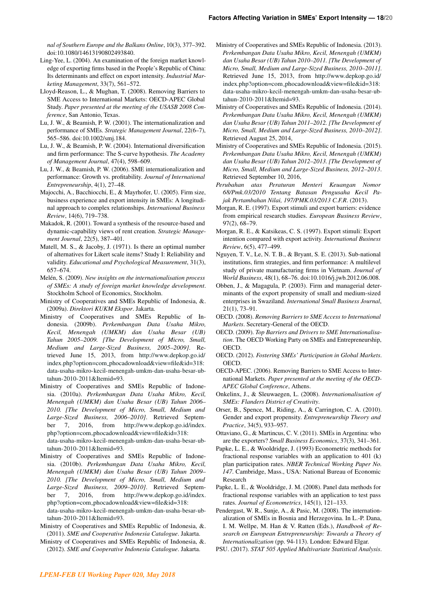*nal of Southern Europe and the Balkans Online*, 10(3), 377–392. doi:10.1080/14613190802493840.

- Ling-Yee, L. (2004). An examination of the foreign market knowledge of exporting firms based in the People's Republic of China: Its determinants and effect on export intensity. *Industrial Marketing Management*, 33(7), 561–572.
- Lloyd-Reason, L., & Mughan, T. (2008). Removing Barriers to SME Access to International Markets: OECD-APEC Global Study. *Paper presented at the meeting of the USASB 2008 Conference*, San Antonio, Texas.
- Lu, J. W., & Beamish, P. W. (2001). The internationalization and performance of SMEs. *Strategic Management Journal*, 22(6–7), 565–586. doi:10.1002/smj.184.
- Lu, J. W., & Beamish, P. W. (2004). International diversification and firm performance: The S-curve hypothesis. *The Academy of Management Journal*, 47(4), 598–609.
- Lu, J. W., & Beamish, P. W. (2006). SME internationalization and performance: Growth vs. profitability. *Journal of International Entrepreneurship*, 4(1), 27–48.
- Majocchi, A., Bacchiocchi, E., & Mayrhofer, U. (2005). Firm size, business experience and export intensity in SMEs: A longitudinal approach to complex relationships. *International Business Review*, 14(6), 719–738.
- Makadok, R. (2001). Toward a synthesis of the resource-based and dynamic-capability views of rent creation. *Strategic Management Journal*, 22(5), 387–401.
- Matell, M. S., & Jacoby, J. (1971). Is there an optimal number of alternatives for Likert scale items? Study I: Reliability and validity. *Educational and Psychological Measurement*, 31(3), 657–674.
- Melén, S. (2009). *New insights on the internationalisation process of SMEs: A study of foreign market knowledge development*. Stockholm School of Economics, Stockholm.
- Ministry of Cooperatives and SMEs Republic of Indonesia, &. (2009a). *Direktori KUKM Ekspor*. Jakarta.
- Ministry of Cooperatives and SMEs Republic of Indonesia. (2009b). *Perkembangan Data Usaha Mikro, Kecil, Menengah (UMKM) dan Usaha Besar (UB) Tahun 2005–2009. [The Development of Micro, Small, Medium and Large-Sized Business, 2005–2009]*. Retrieved June 15, 2013, from [http://www.depkop.go.id/](http://www.depkop.go.id/index.php?option=com_phocadownload&view=file&id=318:data-usaha-mikro-kecil-menengah-umkm-dan-usaha-besar-ub-) index.php?option=com [phocadownload&view=file&id=318:](http://www.depkop.go.id/index.php?option=com_phocadownload&view=file&id=318:data-usaha-mikro-kecil-menengah-umkm-dan-usaha-besar-ub-) [data-usaha-mikro-kecil-menengah-umkm-dan-usaha-besar-ub](http://www.depkop.go.id/index.php?option=com_phocadownload&view=file&id=318:data-usaha-mikro-kecil-menengah-umkm-dan-usaha-besar-ub-)[tahun-2010-2011&Itemid=93.](tahun-2010-2011&Itemid=93)
- Ministry of Cooperatives and SMEs Republic of Indonesia. (2010a). *Perkembangan Data Usaha Mikro, Kecil, Menengah (UMKM) dan Usaha Besar (UB) Tahun 2006– 2010. [The Development of Micro, Small, Medium and Large-Sized Business, 2006–2010]*. Retrieved September 7, 2016, from [http://www.depkop.go.id/index.](http://www.depkop.go.id/index.php?option=com_phocadownload&view=file&id=318:data-usaha-mikro-kecil-menengah-umkm-dan-usaha-besar-ub-) php?option=com [phocadownload&view=file&id=318:](http://www.depkop.go.id/index.php?option=com_phocadownload&view=file&id=318:data-usaha-mikro-kecil-menengah-umkm-dan-usaha-besar-ub-) [data-usaha-mikro-kecil-menengah-umkm-dan-usaha-besar-ub-](http://www.depkop.go.id/index.php?option=com_phocadownload&view=file&id=318:data-usaha-mikro-kecil-menengah-umkm-dan-usaha-besar-ub-)

[tahun-2010-2011&Itemid=93.](tahun-2010-2011&Itemid=93)

- Ministry of Cooperatives and SMEs Republic of Indonesia. (2010b). *Perkembangan Data Usaha Mikro, Kecil, Menengah (UMKM) dan Usaha Besar (UB) Tahun 2009– 2010. [The Development of Micro, Small, Medium and Large-Sized Business, 2009–2010]*. Retrieved September 7, 2016, from [http://www.depkop.go.id/index.](http://www.depkop.go.id/index.php?option=com_phocadownload&view=file&id=318:data-usaha-mikro-kecil-menengah-umkm-dan-usaha-besar-ub-) php?option=com [phocadownload&view=file&id=318:](http://www.depkop.go.id/index.php?option=com_phocadownload&view=file&id=318:data-usaha-mikro-kecil-menengah-umkm-dan-usaha-besar-ub-) [data-usaha-mikro-kecil-menengah-umkm-dan-usaha-besar-ub](http://www.depkop.go.id/index.php?option=com_phocadownload&view=file&id=318:data-usaha-mikro-kecil-menengah-umkm-dan-usaha-besar-ub-)[tahun-2010-2011&Itemid=93.](tahun-2010-2011&Itemid=93)
- Ministry of Cooperatives and SMEs Republic of Indonesia, &. (2011). *SME and Cooperative Indonesia Catalogue*. Jakarta.
- Ministry of Cooperatives and SMEs Republic of Indonesia, &. (2012). *SME and Cooperative Indonesia Catalogue*. Jakarta.
- Ministry of Cooperatives and SMEs Republic of Indonesia. (2013). *Perkembangan Data Usaha Mikro, Kecil, Menengah (UMKM) dan Usaha Besar (UB) Tahun 2010–2011. [The Development of Micro, Small, Medium and Large-Sized Business, 2010–2011]*. Retrieved June 15, 2013, from [http://www.depkop.go.id/](http://www.depkop.go.id/index.php?option=com_phocadownload&view=file&id=318:data-usaha-mikro-kecil-menengah-umkm-dan-usaha-besar-ub-) index.php?option=com [phocadownload&view=file&id=318:](http://www.depkop.go.id/index.php?option=com_phocadownload&view=file&id=318:data-usaha-mikro-kecil-menengah-umkm-dan-usaha-besar-ub-) [data-usaha-mikro-kecil-menengah-umkm-dan-usaha-besar-ub](http://www.depkop.go.id/index.php?option=com_phocadownload&view=file&id=318:data-usaha-mikro-kecil-menengah-umkm-dan-usaha-besar-ub-)[tahun-2010-2011&Itemid=93.](tahun-2010-2011&Itemid=93)
- Ministry of Cooperatives and SMEs Republic of Indonesia. (2014). *Perkembangan Data Usaha Mikro, Kecil, Menengah (UMKM) dan Usaha Besar (UB) Tahun 2011–2012. [The Development of Micro, Small, Medium and Large-Sized Business, 2010–2012]*. Retrieved August 25, 2014,
- Ministry of Cooperatives and SMEs Republic of Indonesia. (2015). *Perkembangan Data Usaha Mikro, Kecil, Menengah (UMKM) dan Usaha Besar (UB) Tahun 2012–2013. [The Development of Micro, Small, Medium and Large-Sized Business, 2012–2013*. Retrieved September 10, 2016,
- *Perubahan atas Peraturan Menteri Keuangan Nomor 68/Pmk.03/2010 Tentang Batasan Pengusaha Kecil Pajak Pertambahan Nilai, 197/PMK.03/2013 C.F.R*. (2013).
- Morgan, R. E. (1997). Export stimuli and export barriers: evidence from empirical research studies. *European Business Review*, 97(2), 68–79.
- Morgan, R. E., & Katsikeas, C. S. (1997). Export stimuli: Export intention compared with export activity. *International Business Review*, 6(5), 477–499.
- Nguyen, T. V., Le, N. T. B., & Bryant, S. E. (2013). Sub-national institutions, firm strategies, and firm performance: A multilevel study of private manufacturing firms in Vietnam. *Journal of World Business*, 48(1), 68–76. doi:10.1016/j.jwb.2012.06.008.
- Obben, J., & Magagula, P. (2003). Firm and managerial determinants of the export propensity of small and medium-sized enterprises in Swaziland. *International Small Business Journal*, 21(1), 73–91.
- OECD. (2008). *Removing Barriers to SME Access to International Markets*. Secretary-General of the OECD.
- OECD. (2009). *Top Barriers and Drivers to SME Internationalisation*. The OECD Working Party on SMEs and Entrepreneurship, OECD.
- OECD. (2012). *Fostering SMEs' Participation in Global Markets*. OECD.
- OECD-APEC. (2006). Removing Barriers to SME Access to International Markets. *Paper presented at the meeting of the OECD-APEC Global Conference*, Athens.
- Onkelinx, J., & Sleuwaegen, L. (2008). *Internationalisation of SMEs: Flanders District of Creativity*.
- Orser, B., Spence, M., Riding, A., & Carrington, C. A. (2010). Gender and export propensity. *Entrepreneurship Theory and Practice*, 34(5), 933–957.
- Ottaviano, G., & Martincus, C. V. (2011). SMEs in Argentina: who are the exporters? *Small Business Economics*, 37(3), 341–361.
- Papke, L. E., & Wooldridge, J. (1993) Econometric methods for fractional response variables with an application to 401 (k) plan participation rates. *NBER Technical Working Paper No. 147*. Cambridge, Mass., USA: National Bureau of Economic Research
- Papke, L. E., & Wooldridge, J. M. (2008). Panel data methods for fractional response variables with an application to test pass rates. *Journal of Econometrics*, 145(1), 121–133.
- Pendergast, W. R., Sunje, A., & Pasic, M. (2008). The internationalization of SMEs in Bosnia and Herzegovina. In L.-P. Dana, I. M. Wellpe, M. Han & V. Ratten (Eds.), *Handbook of Research on European Entrepreneurship: Towards a Theory of Internationalization* (pp. 94-113). London: Edward Elgar.

PSU. (2017). *STAT 505 Applied Multivariate Statistical Analysis*.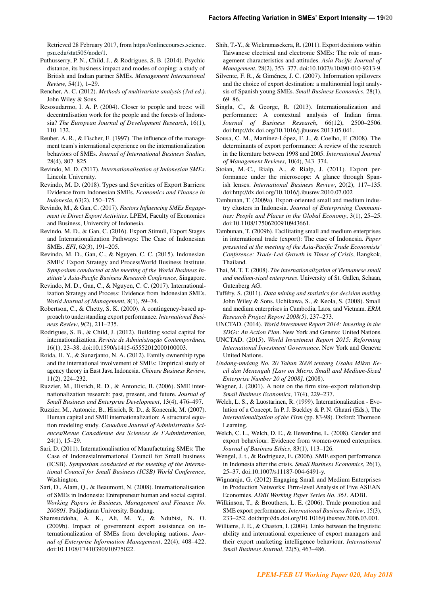Retrieved 28 February 2017, from [https://onlinecourses.science.](https://onlinecourses.science.psu.edu/stat505/node/1) [psu.edu/stat505/node/1.](https://onlinecourses.science.psu.edu/stat505/node/1)

- Puthusserry, P. N., Child, J., & Rodrigues, S. B. (2014). Psychic distance, its business impact and modes of coping: a study of British and Indian partner SMEs. *Management International Review*, 54(1), 1–29.
- Rencher, A. C. (2012). *Methods of multivariate analysis (3rd ed.)*. John Wiley & Sons.
- Resosudarmo, I. A. P. (2004). Closer to people and trees: will decentralisation work for the people and the forests of Indonesia? *The European Journal of Development Research*, 16(1), 110–132.
- Reuber, A. R., & Fischer, E. (1997). The influence of the management team's international experience on the internationalization behaviors of SMEs. *Journal of International Business Studies*, 28(4), 807–825.
- Revindo, M. D. (2017). *Internationalisation of Indonesian SMEs*. Lincoln University.
- Revindo, M. D. (2018). Types and Severities of Export Barriers: Evidence from Indonesian SMEs. *Economics and Finance in Indonesia*, 63(2), 150–175.
- Revindo, M., & Gan, C. (2017). *Factors Influencing SMEs Engagement in Direct Export Activities*. LPEM, Faculty of Economics and Business, University of Indonesia.
- Revindo, M. D., & Gan, C. (2016). Export Stimuli, Export Stages and Internationalization Pathways: The Case of Indonesian SMEs. *EFI*, 62(3), 191–205.
- Revindo, M. D., Gan, C., & Nguyen, C. C. (2015). Indonesian SMEs' Export Strategy and ProcessWorld Business Institute. *Symposium conducted at the meeting of the World Business Institute's Asia-Pacific Business Research Conference*, Singapore.
- Revindo, M. D., Gan, C., & Nguyen, C. C. (2017). Internationalization Strategy and Process: Evidence from Indonesian SMEs. *World Journal of Management*, 8(1), 59–74.
- Robertson, C., & Chetty, S. K. (2000). A contingency-based approach to understanding export performance. *International Business Review*, 9(2), 211–235.
- Rodrigues, S. B., & Child, J. (2012). Building social capital for internationalization. *Revista de Administração Contemporânea*, 16(1), 23–38. doi:10.1590/s1415-65552012000100003.
- Roida, H. Y., & Sunarjanto, N. A. (2012). Family ownership type and the international involvement of SMEs: Empirical study of agency theory in East Java Indonesia. *Chinese Business Review*, 11(2), 224–232.
- Ruzzier, M., Hisrich, R. D., & Antoncic, B. (2006). SME internationalization research: past, present, and future. *Journal of Small Business and Enterprise Development*, 13(4), 476–497.
- Ruzzier, M., Antoncic, B., Hisrich, R. D., & Konecnik, M. (2007). Human capital and SME internationalization: A structural equation modeling study. *Canadian Journal of Administrative Sciences/Revue Canadienne des Sciences de l'Administration*, 24(1), 15–29.
- Sari, D. (2011). Internationalisation of Manufacturing SMEs: The Case of IndonesiaInternational Council for Small business (ICSB). *Symposium conducted at the meeting of the International Council for Small Business (ICSB) World Conference*, Washington.
- Sari, D., Alam, Q., & Beaumont, N. (2008). Internationalisation of SMEs in Indonesia: Entrepreneur human and social capital. *Working Papers in Business, Management and Finance No. 200801*. Padjadjaran University. Bandung.
- Shamsuddoha, A. K., Ali, M. Y., & Ndubisi, N. O. (2009b). Impact of government export assistance on internationalization of SMEs from developing nations. *Journal of Enterprise Information Management*, 22(4), 408–422. doi:10.1108/17410390910975022.
- Shih, T.-Y., & Wickramasekera, R. (2011). Export decisions within Taiwanese electrical and electronic SMEs: The role of management characteristics and attitudes. *Asia Pacific Journal of Management*, 28(2), 353–377. doi:10.1007/s10490-010-9213-9.
- Silvente, F. R., & Giménez, J. C. (2007). Information spillovers and the choice of export destination: a multinomial logit analysis of Spanish young SMEs. *Small Business Economics*, 28(1), 69–86.
- Singla, C., & George, R. (2013). Internationalization and performance: A contextual analysis of Indian firms. *Journal of Business Research*, 66(12), 2500–2506. doi:http://dx.doi.org/10.1016/j.jbusres.2013.05.041.
- Sousa, C. M., Martínez-López, F. J., & Coelho, F. (2008). The determinants of export performance: A review of the research in the literature between 1998 and 2005. *International Journal of Management Reviews*, 10(4), 343–374.
- Stoian, M.-C., Rialp, A., & Rialp, J. (2011). Export performance under the microscope: A glance through Spanish lenses. *International Business Review*, 20(2), 117–135. doi:http://dx.doi.org/10.1016/j.ibusrev.2010.07.002
- Tambunan, T. (2009a). Export-oriented small and medium industry clusters in Indonesia. *Journal of Enterprising Communities: People and Places in the Global Economy*, 3(1), 25–25. doi:10.1108/17506200910943661.
- Tambunan, T. (2009b). Facilitating small and medium enterprises in international trade (export): The case of Indonesia. *Paper presented at the meeting of the Asia-Pacific Trade Economists' Conference: Trade-Led Growth in Times of Crisis*, Bangkok, Thailand.
- Thai, M. T. T. (2008). *The internationalization of Vietnamese small and medium-sized enterprises*. University of St. Gallen, Schaan, Gutenberg AG.
- Tufféry, S. (2011). *Data mining and statistics for decision making*. John Wiley & Sons. Uchikawa, S., & Keola, S. (2008). Small and medium enterprises in Cambodia, Laos, and Vietnam. *ERIA Research Project Report 2008(5)*, 237–273.
- UNCTAD. (2014). *World Investment Report 2014: Investing in the SDGs: An Action Plan*. New York and Geneva: United Nations.
- UNCTAD. (2015). *World Investment Report 2015: Reforming International Investment Governance*. New York and Geneva: United Nations.
- *Undang-undang No. 20 Tahun 2008 tentang Usaha Mikro Kecil dan Menengah [Law on Micro, Small and Medium-Sized Enterprise Number 20 of 2008]*. (2008).
- Wagner, J. (2001). A note on the firm size–export relationship. *Small Business Economics*, 17(4), 229–237.
- Welch, L. S., & Luostarinen, R. (1999). Internationalization Evolution of a Concept. In P. J. Buckley & P. N. Ghauri (Eds.), The *Internationalization of the Firm* (pp. 83-98). Oxford: Thomson Learning.
- Welch, C. L., Welch, D. E., & Hewerdine, L. (2008). Gender and export behaviour: Evidence from women-owned enterprises. *Journal of Business Ethics*, 83(1), 113–126.
- Wengel, J. t., & Rodriguez, E. (2006). SME export performance in Indonesia after the crisis. *Small Business Economics*, 26(1), 25–37. doi:10.1007/s11187-004-6491-y.
- Wignaraja, G. (2012) Engaging Small and Medium Enterprises in Production Networks: Firm-level Analysis of Five ASEAN Economies. *ADBI Working Paper Series No. 361*. ADBI.
- Wilkinson, T., & Brouthers, L. E. (2006). Trade promotion and SME export performance. *International Business Review*, 15(3), 233–252. doi:http://dx.doi.org/10.1016/j.ibusrev.2006.03.001.
- Williams, J. E., & Chaston, I. (2004). Links between the linguistic ability and international experience of export managers and their export marketing intelligence behaviour. *International Small Business Journal*, 22(5), 463–486.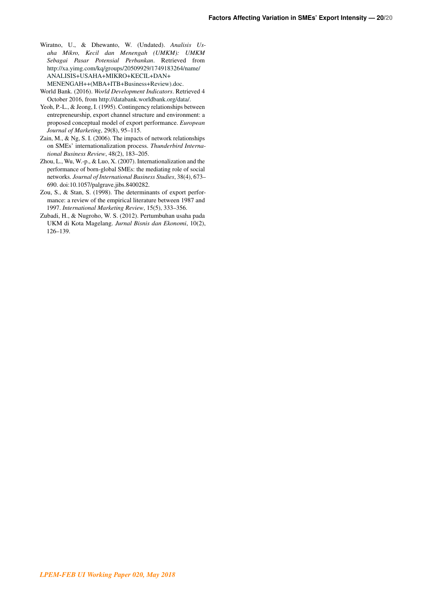- <span id="page-21-0"></span>Wiratno, U., & Dhewanto, W. (Undated). *Analisis Usaha Mikro, Kecil dan Menengah (UMKM): UMKM Sebagai Pasar Potensial Perbankan*. Retrieved from <http://xa.yimg.com/kq/groups/20509929/1749183264/name/> [ANALISIS+USAHA+MIKRO+KECIL+DAN+](ANALISIS+USAHA+MIKRO+KECIL+DAN+MENENGAH++(MBA+ITB+Business+Review).doc) [MENENGAH++\(MBA+ITB+Business+Review\).doc.](ANALISIS+USAHA+MIKRO+KECIL+DAN+MENENGAH++(MBA+ITB+Business+Review).doc)
- World Bank. (2016). *World Development Indicators*. Retrieved 4 October 2016, from [http://databank.worldbank.org/data/.](http://databank.worldbank.org/data/)
- Yeoh, P.-L., & Jeong, I. (1995). Contingency relationships between entrepreneurship, export channel structure and environment: a proposed conceptual model of export performance. *European Journal of Marketing*, 29(8), 95–115.
- Zain, M., & Ng, S. I. (2006). The impacts of network relationships on SMEs' internationalization process. *Thunderbird International Business Review*, 48(2), 183–205.
- Zhou, L., Wu, W.-p., & Luo, X. (2007). Internationalization and the performance of born-global SMEs: the mediating role of social networks. *Journal of International Business Studies*, 38(4), 673– 690. doi:10.1057/palgrave.jibs.8400282.
- Zou, S., & Stan, S. (1998). The determinants of export performance: a review of the empirical literature between 1987 and 1997. *International Marketing Review*, 15(5), 333–356.
- Zubadi, H., & Nugroho, W. S. (2012). Pertumbuhan usaha pada UKM di Kota Magelang. *Jurnal Bisnis dan Ekonomi*, 10(2), 126–139.